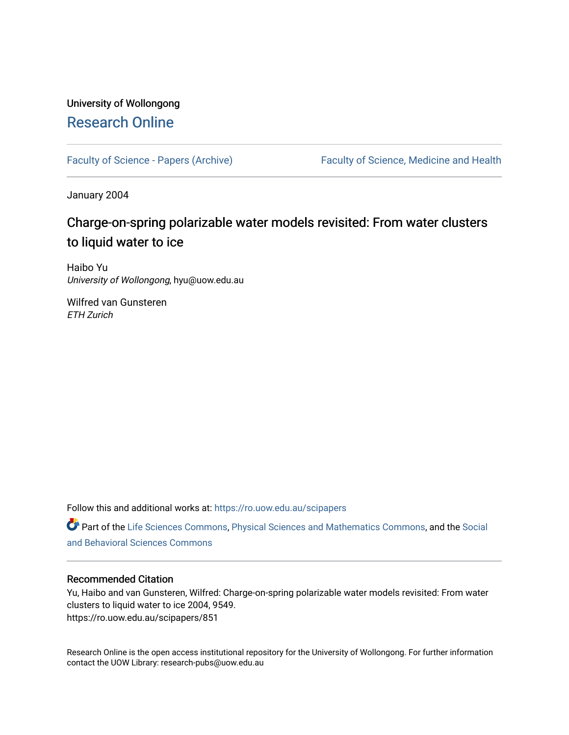## University of Wollongong [Research Online](https://ro.uow.edu.au/)

[Faculty of Science - Papers \(Archive\)](https://ro.uow.edu.au/scipapers) Faculty of Science, Medicine and Health

January 2004

# Charge-on-spring polarizable water models revisited: From water clusters to liquid water to ice

Haibo Yu University of Wollongong, hyu@uow.edu.au

Wilfred van Gunsteren ETH Zurich

Follow this and additional works at: [https://ro.uow.edu.au/scipapers](https://ro.uow.edu.au/scipapers?utm_source=ro.uow.edu.au%2Fscipapers%2F851&utm_medium=PDF&utm_campaign=PDFCoverPages)

Part of the [Life Sciences Commons,](http://network.bepress.com/hgg/discipline/1016?utm_source=ro.uow.edu.au%2Fscipapers%2F851&utm_medium=PDF&utm_campaign=PDFCoverPages) [Physical Sciences and Mathematics Commons,](http://network.bepress.com/hgg/discipline/114?utm_source=ro.uow.edu.au%2Fscipapers%2F851&utm_medium=PDF&utm_campaign=PDFCoverPages) and the Social [and Behavioral Sciences Commons](http://network.bepress.com/hgg/discipline/316?utm_source=ro.uow.edu.au%2Fscipapers%2F851&utm_medium=PDF&utm_campaign=PDFCoverPages) 

### Recommended Citation

Yu, Haibo and van Gunsteren, Wilfred: Charge-on-spring polarizable water models revisited: From water clusters to liquid water to ice 2004, 9549. https://ro.uow.edu.au/scipapers/851

Research Online is the open access institutional repository for the University of Wollongong. For further information contact the UOW Library: research-pubs@uow.edu.au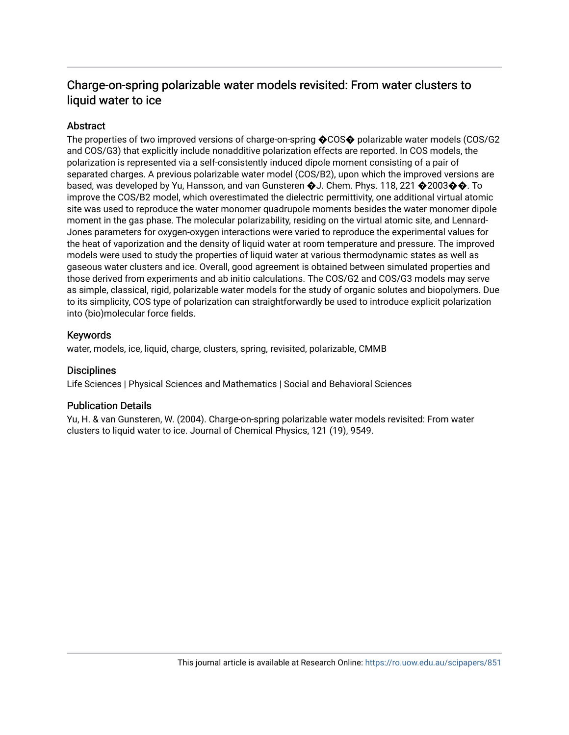## Charge-on-spring polarizable water models revisited: From water clusters to liquid water to ice

### Abstract

The properties of two improved versions of charge-on-spring �COS� polarizable water models (COS/G2 and COS/G3) that explicitly include nonadditive polarization effects are reported. In COS models, the polarization is represented via a self-consistently induced dipole moment consisting of a pair of separated charges. A previous polarizable water model (COS/B2), upon which the improved versions are based, was developed by Yu, Hansson, and van Gunsteren  $\bigcirc$ J. Chem. Phys. 118, 221  $\bigcirc$ 2003 $\bigcirc$  $\bigcirc$ . To improve the COS/B2 model, which overestimated the dielectric permittivity, one additional virtual atomic site was used to reproduce the water monomer quadrupole moments besides the water monomer dipole moment in the gas phase. The molecular polarizability, residing on the virtual atomic site, and Lennard-Jones parameters for oxygen-oxygen interactions were varied to reproduce the experimental values for the heat of vaporization and the density of liquid water at room temperature and pressure. The improved models were used to study the properties of liquid water at various thermodynamic states as well as gaseous water clusters and ice. Overall, good agreement is obtained between simulated properties and those derived from experiments and ab initio calculations. The COS/G2 and COS/G3 models may serve as simple, classical, rigid, polarizable water models for the study of organic solutes and biopolymers. Due to its simplicity, COS type of polarization can straightforwardly be used to introduce explicit polarization into (bio)molecular force fields.

### Keywords

water, models, ice, liquid, charge, clusters, spring, revisited, polarizable, CMMB

### **Disciplines**

Life Sciences | Physical Sciences and Mathematics | Social and Behavioral Sciences

### Publication Details

Yu, H. & van Gunsteren, W. (2004). Charge-on-spring polarizable water models revisited: From water clusters to liquid water to ice. Journal of Chemical Physics, 121 (19), 9549.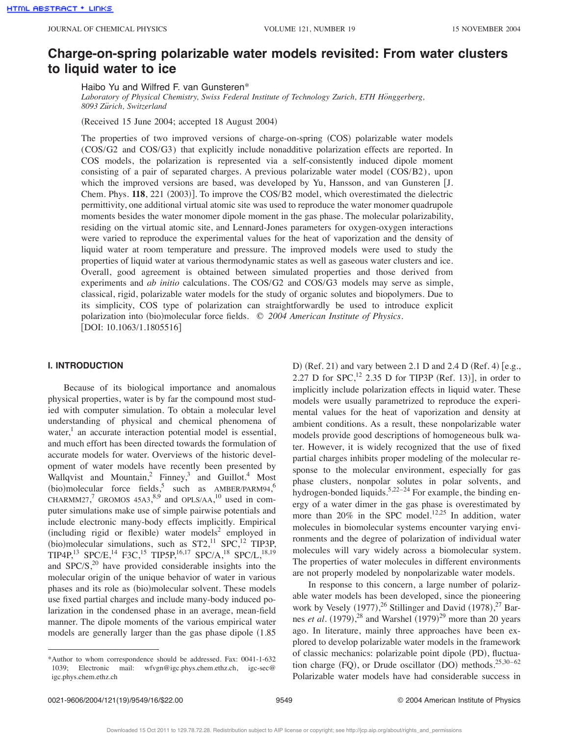### **Charge-on-spring polarizable water models revisited: From water clusters to liquid water to ice**

Haibo Yu and Wilfred F. van Gunsteren\*

Laboratory of Physical Chemistry, Swiss Federal Institute of Technology Zurich, ETH Hönggerberg, *8093 Zu¨rich, Switzerland*

 $(Received 15 June 2004; accepted 18 August 2004)$ 

The properties of two improved versions of charge-on-spring (COS) polarizable water models (COS/G2 and COS/G3) that explicitly include nonadditive polarization effects are reported. In COS models, the polarization is represented via a self-consistently induced dipole moment consisting of a pair of separated charges. A previous polarizable water model (COS/B2), upon which the improved versions are based, was developed by Yu, Hansson, and van Gunsteren [J. Chem. Phys. **118**, 221 (2003)]. To improve the COS/B2 model, which overestimated the dielectric permittivity, one additional virtual atomic site was used to reproduce the water monomer quadrupole moments besides the water monomer dipole moment in the gas phase. The molecular polarizability, residing on the virtual atomic site, and Lennard-Jones parameters for oxygen-oxygen interactions were varied to reproduce the experimental values for the heat of vaporization and the density of liquid water at room temperature and pressure. The improved models were used to study the properties of liquid water at various thermodynamic states as well as gaseous water clusters and ice. Overall, good agreement is obtained between simulated properties and those derived from experiments and *ab initio* calculations. The COS/G2 and COS/G3 models may serve as simple, classical, rigid, polarizable water models for the study of organic solutes and biopolymers. Due to its simplicity, COS type of polarization can straightforwardly be used to introduce explicit polarization into (bio)molecular force fields. © 2004 American Institute of Physics.  $[DOI: 10.1063/1.1805516]$ 

#### **I. INTRODUCTION**

Because of its biological importance and anomalous physical properties, water is by far the compound most studied with computer simulation. To obtain a molecular level understanding of physical and chemical phenomena of water, $<sup>1</sup>$  an accurate interaction potential model is essential,</sup> and much effort has been directed towards the formulation of accurate models for water. Overviews of the historic development of water models have recently been presented by Wallqvist and Mountain,<sup>2</sup> Finney,<sup>3</sup> and Guillot.<sup>4</sup> Most  $(bio)$ molecular force fields,<sup>5</sup> such as AMBER/PARM94,<sup>6</sup> CHARMM27,<sup>7</sup> GROMOS 45A3,<sup>8,9</sup> and OPLS/AA,<sup>10</sup> used in computer simulations make use of simple pairwise potentials and include electronic many-body effects implicitly. Empirical  $(including\ rigid\ or\ flexible)$  water models<sup>2</sup> employed in (bio)molecular simulations, such as  $ST2$ ,<sup>11</sup> SPC,<sup>12</sup> TIP3P, TIP4P,<sup>13</sup> SPC/E,<sup>14</sup> F3C,<sup>15</sup> TIP5P,<sup>16,17</sup> SPC/A,<sup>18</sup> SPC/L,<sup>18,19</sup> and SPC/S,<sup>20</sup> have provided considerable insights into the molecular origin of the unique behavior of water in various phases and its role as (bio)molecular solvent. These models use fixed partial charges and include many-body induced polarization in the condensed phase in an average, mean-field manner. The dipole moments of the various empirical water models are generally larger than the gas phase dipole  $(1.85$ 

D)  $(Ref. 21)$  and vary between 2.1 D and 2.4 D  $(Ref. 4)$   $[e.g.,$ 2.27 D for  $SPC$ ,<sup>12</sup> 2.35 D for TIP3P (Ref. 13)], in order to implicitly include polarization effects in liquid water. These models were usually parametrized to reproduce the experimental values for the heat of vaporization and density at ambient conditions. As a result, these nonpolarizable water models provide good descriptions of homogeneous bulk water. However, it is widely recognized that the use of fixed partial charges inhibits proper modeling of the molecular response to the molecular environment, especially for gas phase clusters, nonpolar solutes in polar solvents, and hydrogen-bonded liquids.<sup>5,22–24</sup> For example, the binding energy of a water dimer in the gas phase is overestimated by more than  $20\%$  in the SPC model.<sup>12,25</sup> In addition, water molecules in biomolecular systems encounter varying environments and the degree of polarization of individual water molecules will vary widely across a biomolecular system. The properties of water molecules in different environments are not properly modeled by nonpolarizable water models.

In response to this concern, a large number of polarizable water models has been developed, since the pioneering work by Vesely  $(1977),^{26}$  Stillinger and David  $(1978),^{27}$  Barnes *et al.*  $(1979)$ ,<sup>28</sup> and Warshel  $(1979)$ <sup>29</sup> more than 20 years ago. In literature, mainly three approaches have been explored to develop polarizable water models in the framework of classic mechanics: polarizable point dipole (PD), fluctuation charge  $(FQ)$ , or Drude oscillator  $(DO)$  methods.<sup>25,30-62</sup> Polarizable water models have had considerable success in

<sup>\*</sup>Author to whom correspondence should be addressed. Fax: 0041-1-632 1039; Electronic mail: wfvgn@igc.phys.chem.ethz.ch, igc-sec@ igc.phys.chem.ethz.ch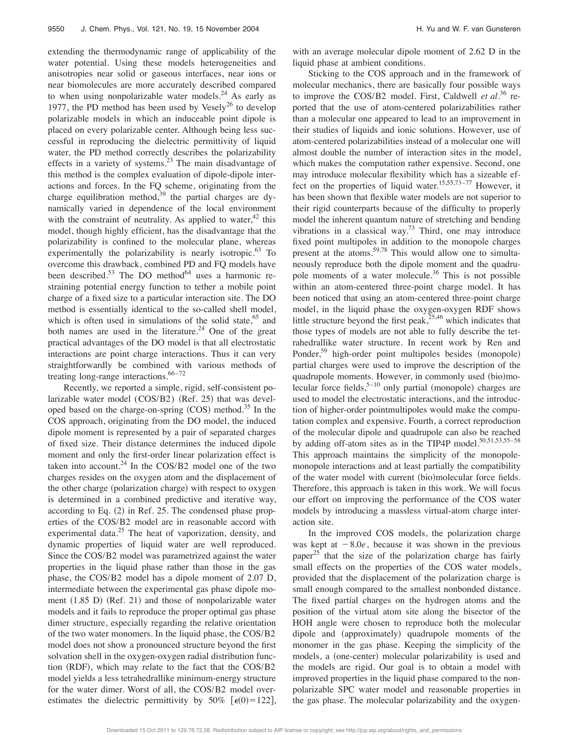extending the thermodynamic range of applicability of the water potential. Using these models heterogeneities and anisotropies near solid or gaseous interfaces, near ions or near biomolecules are more accurately described compared to when using nonpolarizable water models. $24$  As early as 1977, the PD method has been used by Vesely $^{26}$  to develop polarizable models in which an induceable point dipole is placed on every polarizable center. Although being less successful in reproducing the dielectric permittivity of liquid water, the PD method correctly describes the polarizability effects in a variety of systems.<sup>23</sup> The main disadvantage of this method is the complex evaluation of dipole-dipole interactions and forces. In the FQ scheme, originating from the charge equilibration method, $39$  the partial charges are dynamically varied in dependence of the local environment with the constraint of neutrality. As applied to water,  $42$  this model, though highly efficient, has the disadvantage that the polarizability is confined to the molecular plane, whereas experimentally the polarizability is nearly isotropic.<sup>63</sup> To overcome this drawback, combined PD and FQ models have been described.<sup>53</sup> The DO method<sup>64</sup> uses a harmonic restraining potential energy function to tether a mobile point charge of a fixed size to a particular interaction site. The DO method is essentially identical to the so-called shell model, which is often used in simulations of the solid state,  $65$  and both names are used in the literature.<sup>24</sup> One of the great practical advantages of the DO model is that all electrostatic interactions are point charge interactions. Thus it can very straightforwardly be combined with various methods of treating long-range interactions. $66 - 72$ 

Recently, we reported a simple, rigid, self-consistent polarizable water model (COS/B2) (Ref. 25) that was developed based on the charge-on-spring  $(COS)$  method.<sup>35</sup> In the COS approach, originating from the DO model, the induced dipole moment is represented by a pair of separated charges of fixed size. Their distance determines the induced dipole moment and only the first-order linear polarization effect is taken into account. $24$  In the COS/B2 model one of the two charges resides on the oxygen atom and the displacement of the other charge (polarization charge) with respect to oxygen is determined in a combined predictive and iterative way, according to Eq.  $(2)$  in Ref. 25. The condensed phase properties of the COS/B2 model are in reasonable accord with experimental data.<sup>25</sup> The heat of vaporization, density, and dynamic properties of liquid water are well reproduced. Since the COS/B2 model was parametrized against the water properties in the liquid phase rather than those in the gas phase, the COS/B2 model has a dipole moment of 2.07 D, intermediate between the experimental gas phase dipole moment  $(1.85 \text{ D})$   $(Ref. 21)$  and those of nonpolarizable water models and it fails to reproduce the proper optimal gas phase dimer structure, especially regarding the relative orientation of the two water monomers. In the liquid phase, the COS/B2 model does not show a pronounced structure beyond the first solvation shell in the oxygen-oxygen radial distribution function (RDF), which may relate to the fact that the COS/B2 model yields a less tetrahedrallike minimum-energy structure for the water dimer. Worst of all, the COS/B2 model overestimates the dielectric permittivity by 50%  $[\epsilon(0) = 122]$ , with an average molecular dipole moment of 2.62 D in the liquid phase at ambient conditions.

Sticking to the COS approach and in the framework of molecular mechanics, there are basically four possible ways to improve the COS/B2 model. First, Caldwell *et al.*<sup>36</sup> reported that the use of atom-centered polarizabilities rather than a molecular one appeared to lead to an improvement in their studies of liquids and ionic solutions. However, use of atom-centered polarizabilities instead of a molecular one will almost double the number of interaction sites in the model, which makes the computation rather expensive. Second, one may introduce molecular flexibility which has a sizeable effect on the properties of liquid water.15,55,73–77 However, it has been shown that flexible water models are not superior to their rigid counterparts because of the difficulty to properly model the inherent quantum nature of stretching and bending vibrations in a classical way.<sup>73</sup> Third, one may introduce fixed point multipoles in addition to the monopole charges present at the atoms.59,78 This would allow one to simultaneously reproduce both the dipole moment and the quadrupole moments of a water molecule.<sup>36</sup> This is not possible within an atom-centered three-point charge model. It has been noticed that using an atom-centered three-point charge model, in the liquid phase the oxygen-oxygen RDF shows little structure beyond the first peak,  $25,46$  which indicates that those types of models are not able to fully describe the tetrahedrallike water structure. In recent work by Ren and Ponder,<sup>59</sup> high-order point multipoles besides (monopole) partial charges were used to improve the description of the quadrupole moments. However, in commonly used (bio)molecular force fields,  $5-10$  only partial (monopole) charges are used to model the electrostatic interactions, and the introduction of higher-order pointmultipoles would make the computation complex and expensive. Fourth, a correct reproduction of the molecular dipole and quadrupole can also be reached by adding off-atom sites as in the TIP4P model. $50,51,53,55-58$ This approach maintains the simplicity of the monopolemonopole interactions and at least partially the compatibility of the water model with current (bio)molecular force fields. Therefore, this approach is taken in this work. We will focus our effort on improving the performance of the COS water models by introducing a massless virtual-atom charge interaction site.

In the improved COS models, the polarization charge was kept at  $-8.0e$ , because it was shown in the previous paper<sup>25</sup> that the size of the polarization charge has fairly small effects on the properties of the COS water models, provided that the displacement of the polarization charge is small enough compared to the smallest nonbonded distance. The fixed partial charges on the hydrogen atoms and the position of the virtual atom site along the bisector of the HOH angle were chosen to reproduce both the molecular dipole and (approximately) quadrupole moments of the monomer in the gas phase. Keeping the simplicity of the models, a (one-center) molecular polarizability is used and the models are rigid. Our goal is to obtain a model with improved properties in the liquid phase compared to the nonpolarizable SPC water model and reasonable properties in the gas phase. The molecular polarizability and the oxygen-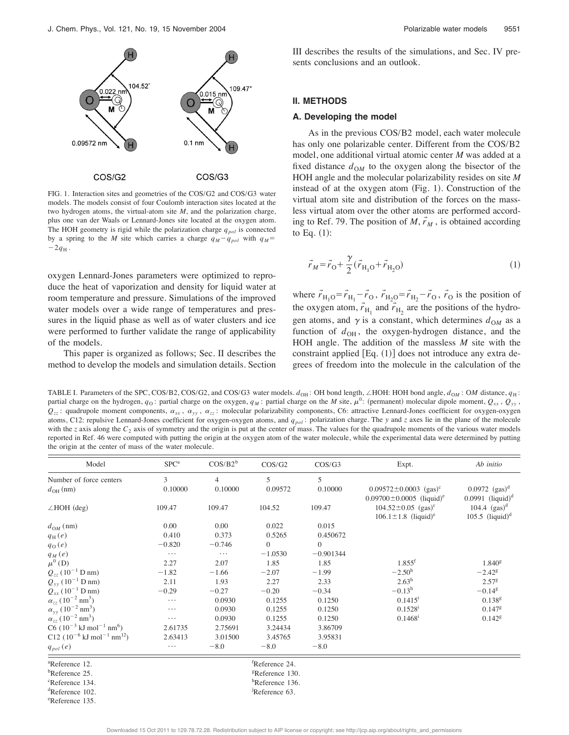

FIG. 1. Interaction sites and geometries of the COS/G2 and COS/G3 water models. The models consist of four Coulomb interaction sites located at the two hydrogen atoms, the virtual-atom site *M*, and the polarization charge, plus one van der Waals or Lennard-Jones site located at the oxygen atom. The HOH geometry is rigid while the polarization charge  $q_{pol}$  is connected by a spring to the *M* site which carries a charge  $q_M - q_{pol}$  with  $q_M$ =  $-2q_{\rm H}$ .

oxygen Lennard-Jones parameters were optimized to reproduce the heat of vaporization and density for liquid water at room temperature and pressure. Simulations of the improved water models over a wide range of temperatures and pressures in the liquid phase as well as of water clusters and ice were performed to further validate the range of applicability of the models.

This paper is organized as follows; Sec. II describes the method to develop the models and simulation details. Section III describes the results of the simulations, and Sec. IV presents conclusions and an outlook.

#### **II. METHODS**

#### **A. Developing the model**

As in the previous COS/B2 model, each water molecule has only one polarizable center. Different from the COS/B2 model, one additional virtual atomic center *M* was added at a fixed distance  $d_{OM}$  to the oxygen along the bisector of the HOH angle and the molecular polarizability resides on site *M* instead of at the oxygen atom  $(Fig. 1)$ . Construction of the virtual atom site and distribution of the forces on the massless virtual atom over the other atoms are performed according to Ref. 79. The position of  $M, r_M$ , is obtained according to Eq.  $(1)$ :

$$
\vec{r}_M = \vec{r}_O + \frac{\gamma}{2} (\vec{r}_{H_1O} + \vec{r}_{H_2O})
$$
\n(1)

where  $\vec{r}_{\text{H}_1\text{O}} = \vec{r}_{\text{H}_1} - \vec{r}_{\text{O}}$ ,  $\vec{r}_{\text{H}_2\text{O}} = \vec{r}_{\text{H}_2} - \vec{r}_{\text{O}}$ ,  $\vec{r}_{\text{O}}$  is the position of the oxygen atom,  $\vec{r}_{\text{H}_1}$  and  $\vec{r}_{\text{H}_2}$  are the positions of the hydrogen atoms, and  $\gamma$  is a constant, which determines  $d_{OM}$  as a function of  $d_{OH}$ , the oxygen-hydrogen distance, and the HOH angle. The addition of the massless *M* site with the constraint applied  $[Eq. (1)]$  does not introduce any extra degrees of freedom into the molecule in the calculation of the

TABLE I. Parameters of the SPC, COS/B2, COS/G2, and COS/G3 water models.  $d_{OH}$ : OH bond length,  $\angle$ HOH: HOH bond angle,  $d_{OM}$ : OM distance,  $q_H$ : partial charge on the hydrogen,  $q_0$ : partial charge on the oxygen,  $q_M$ : partial charge on the *M* site,  $\mu^0$ : (permanent) molecular dipole moment,  $Q_{xx}$ ,  $Q_{yy}$ ,  $Q_{zz}$ : quadrupole moment components,  $\alpha_{xx}$ ,  $\alpha_{yy}$ ,  $\alpha_{zz}$ : molecular polarizability components, C6: attractive Lennard-Jones coefficient for oxygen-oxygen atoms, C12: repulsive Lennard-Jones coefficient for oxygen-oxygen atoms, and  $q_{pol}$ : polarization charge. The *y* and *z* axes lie in the plane of the molecule with the *z* axis along the  $C_2$  axis of symmetry and the origin is put at the center of mass. The values for the quadrupole moments of the various water models reported in Ref. 46 were computed with putting the origin at the oxygen atom of the water molecule, while the experimental data were determined by putting the origin at the center of mass of the water molecule.

| Model                                                                | SPC <sup>a</sup> | $COS/B2^b$     | COS/G2                         | COS/G3      | Expt.                                                                                 | Ab initio                                                     |
|----------------------------------------------------------------------|------------------|----------------|--------------------------------|-------------|---------------------------------------------------------------------------------------|---------------------------------------------------------------|
| Number of force centers                                              | 3                | $\overline{4}$ | 5                              | 5           |                                                                                       |                                                               |
| $d_{\text{OH}}$ (nm)                                                 | 0.10000          | 0.10000        | 0.09572                        | 0.10000     | $0.09572 \pm 0.0003$ (gas) <sup>c</sup><br>$0.09700 \pm 0.0005$ (liquid) <sup>e</sup> | $0.0972$ (gas) <sup>d</sup><br>$0.0991$ (liquid) <sup>d</sup> |
| $\angle$ HOH (deg)                                                   | 109.47           | 109.47         | 104.52                         | 109.47      | $104.52 \pm 0.05$ (gas) <sup>c</sup><br>$106.1 \pm 1.8$ (liquid) <sup>e</sup>         | $104.4 \text{ (gas)}^d$<br>$105.5$ (liquid) <sup>d</sup>      |
| $d_{OM}$ (nm)                                                        | 0.00             | 0.00           | 0.022                          | 0.015       |                                                                                       |                                                               |
| $q_{\rm H}(e)$                                                       | 0.410            | 0.373          | 0.5265                         | 0.450672    |                                                                                       |                                                               |
| $q_0(e)$                                                             | $-0.820$         | $-0.746$       | $\Omega$                       | $\Omega$    |                                                                                       |                                                               |
| $q_{\mathcal{M}}\left(e\right)$                                      | .                | $\cdots$       | $-1.0530$                      | $-0.901344$ |                                                                                       |                                                               |
| $\mu^{0}$ (D)                                                        | 2.27             | 2.07           | 1.85                           | 1.85        | $1.855$ <sup>f</sup>                                                                  | $1.840$ <sup>g</sup>                                          |
| $Q_{zz}$ (10 <sup>-1</sup> D nm)                                     | $-1.82$          | $-1.66$        | $-2.07$                        | $-1.99$     | $-2.50^{\rm h}$                                                                       | $-2.42^{\rm g}$                                               |
|                                                                      | 2.11             | 1.93           | 2.27                           | 2.33        | $2.63^h$                                                                              | 2.57 <sup>g</sup>                                             |
| $Q_{yy}$ (10 <sup>-1</sup> D nm)<br>$Q_{xx}$ (10 <sup>-1</sup> D nm) | $-0.29$          | $-0.27$        | $-0.20$                        | $-0.34$     | $-0.13^h$                                                                             | $-0.14$ <sup>g</sup>                                          |
| $\alpha_{zz}$ (10 <sup>-2</sup> nm <sup>3</sup> )                    | $\cdots$         | 0.0930         | 0.1255                         | 0.1250      | $0.1415^1$                                                                            | 0.138 <sup>g</sup>                                            |
| $\alpha_{yy}$ (10 <sup>-2</sup> nm <sup>3</sup> )                    | $\cdots$         | 0.0930         | 0.1255                         | 0.1250      | $0.1528$ <sup>i</sup>                                                                 | $0.147$ <sup>g</sup>                                          |
| $\alpha_{zz}$ (10 <sup>-2</sup> nm <sup>3</sup> )                    | $\cdots$         | 0.0930         | 0.1255                         | 0.1250      | 0.1468 <sup>i</sup>                                                                   | 0.142 <sup>g</sup>                                            |
| $C6 (10^{-3} \text{ kJ mol}^{-1} \text{ nm}^6)$                      | 2.61735          | 2.75691        | 3.24434                        | 3.86709     |                                                                                       |                                                               |
| C12 $(10^{-6} \text{ kJ} \text{ mol}^{-1} \text{ nm}^{12})$          | 2.63413          | 3.01500        | 3.45765                        | 3.95831     |                                                                                       |                                                               |
| $q_{pol}(e)$                                                         | $\cdots$         | $-8.0$         | $-8.0$                         | $-8.0$      |                                                                                       |                                                               |
| <sup>a</sup> Reference 12.                                           |                  |                | <sup>†</sup> Reference 24.     |             |                                                                                       |                                                               |
| <sup>b</sup> Reference 25.                                           |                  |                | <sup>g</sup> Reference 130.    |             |                                                                                       |                                                               |
| <sup>c</sup> Reference 134.                                          |                  |                | ${}^{\text{h}}$ Reference 136. |             |                                                                                       |                                                               |
| <sup>d</sup> Reference 102.                                          |                  |                | Reference 63.                  |             |                                                                                       |                                                               |

e Reference 135.

Reference 63.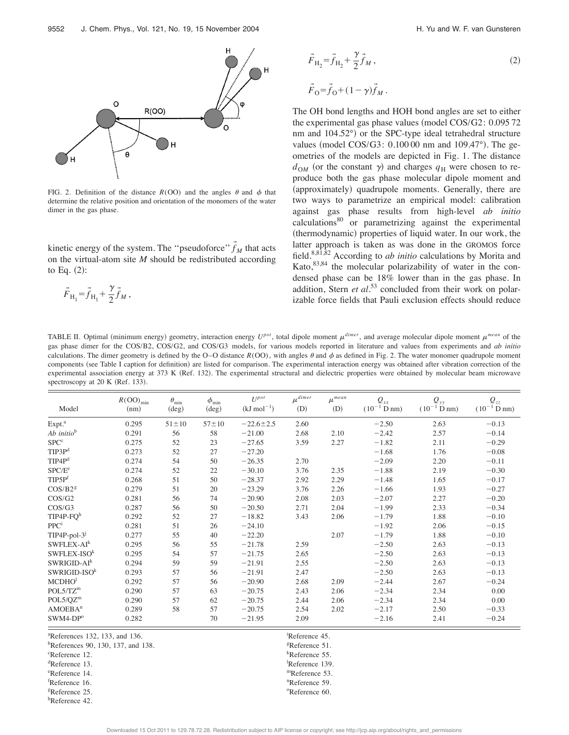

FIG. 2. Definition of the distance  $R(OO)$  and the angles  $\theta$  and  $\phi$  that determine the relative position and orientation of the monomers of the water dimer in the gas phase.

kinetic energy of the system. The "pseudoforce"  $\vec{f}_M$  that acts on the virtual-atom site *M* should be redistributed according to Eq.  $(2)$ :

$$
\vec{F}_{\rm H_1} = \vec{f}_{\rm H_1} + \frac{\gamma}{2} \vec{f}_M \,,
$$

 $\vec{F}_{\text{H}_2} = \vec{f}_{\text{H}_2} + \frac{\gamma}{2} \vec{f}$  $M_{M}$ , (2)  $\vec{F}_0 = \vec{f}_0 + (1 - \gamma)\vec{f}_M$ .

The OH bond lengths and HOH bond angles are set to either the experimental gas phase values (model  $\cos/G2$ : 0.095 72 nm and 104.52°) or the SPC-type ideal tetrahedral structure values (model COS/G3:  $0.10000$  nm and  $109.47^{\circ}$ ). The geometries of the models are depicted in Fig. 1. The distance  $d_{OM}$  (or the constant  $\gamma$ ) and charges  $q_H$  were chosen to reproduce both the gas phase molecular dipole moment and (approximately) quadrupole moments. Generally, there are two ways to parametrize an empirical model: calibration against gas phase results from high-level *ab initio* calculations80 or parametrizing against the experimental (thermodynamic) properties of liquid water. In our work, the latter approach is taken as was done in the GROMOS force field.8,81,82 According to *ab initio* calculations by Morita and Kato, $83,84$  the molecular polarizability of water in the condensed phase can be 18% lower than in the gas phase. In addition, Stern *et al.*<sup>53</sup> concluded from their work on polarizable force fields that Pauli exclusion effects should reduce

TABLE II. Optimal (minimum energy) geometry, interaction energy  $U^{pot}$ , total dipole moment  $\mu^{dimer}$ , and average molecular dipole moment  $\mu^{mean}$  of the gas phase dimer for the COS/B2, COS/G2, and COS/G3 models, for various models reported in literature and values from experiments and *ab initio* calculations. The dimer geometry is defined by the O–O distance  $R(OO)$ , with angles  $\theta$  and  $\phi$  as defined in Fig. 2. The water monomer quadrupole moment components (see Table I caption for definition) are listed for comparison. The experimental interaction energy was obtained after vibration correction of the experimental association energy at 373 K (Ref. 132). The experimental structural and dielectric properties were obtained by molecular beam microwave spectroscopy at 20 K (Ref. 133).

| Model                  | $R(OO)_{min}$<br>(nm) | $\theta_{\min}$<br>$(\text{deg})$ | $\phi_{\rm min}$<br>$(\deg)$ | $II^{pot}$<br>$(kJ \text{ mol}^{-1})$ | $\mu^{dimer}$<br>(D) | $\mu^{mean}$<br>(D) | $Q_{xx}$<br>$(10^{-1} D nm)$ | $Q_{yy}$<br>$(10^{-1}$ D nm) | $Q_{zz}$<br>$(10^{-1} D nm)$ |
|------------------------|-----------------------|-----------------------------------|------------------------------|---------------------------------------|----------------------|---------------------|------------------------------|------------------------------|------------------------------|
| Expt. <sup>a</sup>     | 0.295                 | $51 \pm 10$                       | $57 + 10$                    | $-22.6 \pm 2.5$                       | 2.60                 |                     | $-2.50$                      | 2.63                         | $-0.13$                      |
| Ab initio <sup>b</sup> | 0.291                 | 56                                | 58                           | $-21.00$                              | 2.68                 | 2.10                | $-2.42$                      | 2.57                         | $-0.14$                      |
| $SPC^c$                | 0.275                 | 52                                | 23                           | $-27.65$                              | 3.59                 | 2.27                | $-1.82$                      | 2.11                         | $-0.29$                      |
| TIP3P <sup>d</sup>     | 0.273                 | 52                                | 27                           | $-27.20$                              |                      |                     | $-1.68$                      | 1.76                         | $-0.08$                      |
| TIP4P <sup>d</sup>     | 0.274                 | 54                                | 50                           | $-26.35$                              | 2.70                 |                     | $-2.09$                      | 2.20                         | $-0.11$                      |
| SPC/E <sup>e</sup>     | 0.274                 | 52                                | 22                           | $-30.10$                              | 3.76                 | 2.35                | $-1.88$                      | 2.19                         | $-0.30$                      |
| TIP5P <sup>f</sup>     | 0.268                 | 51                                | 50                           | $-28.37$                              | 2.92                 | 2.29                | $-1.48$                      | 1.65                         | $-0.17$                      |
| COS/B2 <sup>g</sup>    | 0.279                 | 51                                | 20                           | $-23.29$                              | 3.76                 | 2.26                | $-1.66$                      | 1.93                         | $-0.27$                      |
| COS/G2                 | 0.281                 | 56                                | 74                           | $-20.90$                              | 2.08                 | 2.03                | $-2.07$                      | 2.27                         | $-0.20$                      |
| COS/G3                 | 0.287                 | 56                                | 50                           | $-20.50$                              | 2.71                 | 2.04                | $-1.99$                      | 2.33                         | $-0.34$                      |
| TIP4P-FQ <sup>h</sup>  | 0.292                 | 52                                | 27                           | $-18.82$                              | 3.43                 | 2.06                | $-1.79$                      | 1.88                         | $-0.10$                      |
| PPC <sup>i</sup>       | 0.281                 | 51                                | 26                           | $-24.10$                              |                      |                     | $-1.92$                      | 2.06                         | $-0.15$                      |
| $TIP4P-pol-3j$         | 0.277                 | 55                                | 40                           | $-22.20$                              |                      | 2.07                | $-1.79$                      | 1.88                         | $-0.10$                      |
| $SWFLEX-AI^k$          | 0.295                 | 56                                | 55                           | $-21.78$                              | 2.59                 |                     | $-2.50$                      | 2.63                         | $-0.13$                      |
| $SWFLEX-ISOk$          | 0.295                 | 54                                | 57                           | $-21.75$                              | 2.65                 |                     | $-2.50$                      | 2.63                         | $-0.13$                      |
| $SWRIGID-AI^k$         | 0.294                 | 59                                | 59                           | $-21.91$                              | 2.55                 |                     | $-2.50$                      | 2.63                         | $-0.13$                      |
| $SWRIGID-ISOk$         | 0.293                 | 57                                | 56                           | $-21.91$                              | 2.47                 |                     | $-2.50$                      | 2.63                         | $-0.13$                      |
| MCDHO <sup>1</sup>     | 0.292                 | 57                                | 56                           | $-20.90$                              | 2.68                 | 2.09                | $-2.44$                      | 2.67                         | $-0.24$                      |
| POL5/TZ <sup>m</sup>   | 0.290                 | 57                                | 63                           | $-20.75$                              | 2.43                 | 2.06                | $-2.34$                      | 2.34                         | 0.00                         |
| POL5/QZ <sup>m</sup>   | 0.290                 | 57                                | 62                           | $-20.75$                              | 2.44                 | 2.06                | $-2.34$                      | 2.34                         | 0.00                         |
| AMOEBA <sup>n</sup>    | 0.289                 | 58                                | 57                           | $-20.75$                              | 2.54                 | 2.02                | $-2.17$                      | 2.50                         | $-0.33$                      |
| $SWM4-DPo$             | 0.282                 |                                   | 70                           | $-21.95$                              | 2.09                 |                     | $-2.16$                      | 2.41                         | $-0.24$                      |

 ${}^{\text{a}}$ References 132, 133, and 136.

 ${}^{\text{b}}$ References 90, 130, 137, and 138.

<sup>c</sup>Reference 12.

deference 13.

eReference 14.

 ${}^{\text{f}}$ Reference 16.

general extension of the set of the set of the set of the set of the set of the set of the set of the set of the set of the set of the set of the set of the set of the set of the set of the set of the set of the set of the

h Reference 42.

Reference 45. Reference 51. Reference 55.

Reference 139. mReference 53.

Reference 59.

Reference 60.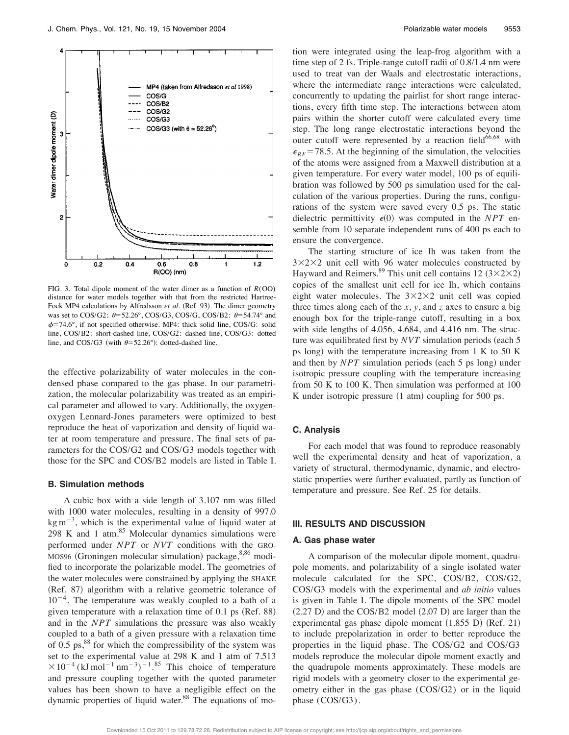

FIG. 3. Total dipole moment of the water dimer as a function of  $R(OO)$ distance for water models together with that from the restricted Hartree-Fock MP4 calculations by Alfredsson et al. (Ref. 93). The dimer geometry was set to COS/G2:  $\theta = 52.26^{\circ}$ , COS/G3, COS/G, COS/B2:  $\theta = 54.74^{\circ}$  and  $\phi$ =74.6°, if not specified otherwise. MP4: thick solid line, COS/G: solid line, COS/B2: short-dashed line, COS/G2: dashed line, COS/G3: dotted line, and COS/G3 (with  $\theta = 52.26^{\circ}$ ): dotted-dashed line.

the effective polarizability of water molecules in the condensed phase compared to the gas phase. In our parametrization, the molecular polarizability was treated as an empirical parameter and allowed to vary. Additionally, the oxygenoxygen Lennard-Jones parameters were optimized to best reproduce the heat of vaporization and density of liquid water at room temperature and pressure. The final sets of parameters for the COS/G2 and COS/G3 models together with those for the SPC and COS/B2 models are listed in Table I.

#### **B. Simulation methods**

A cubic box with a side length of 3.107 nm was filled with 1000 water molecules, resulting in a density of 997.0  $\text{kg m}^{-3}$ , which is the experimental value of liquid water at 298 K and 1 atm. $85$  Molecular dynamics simulations were performed under *NPT* or *NVT* conditions with the GRO-MOS96 (Groningen molecular simulation) package,  $8,86$  modified to incorporate the polarizable model. The geometries of the water molecules were constrained by applying the SHAKE (Ref. 87) algorithm with a relative geometric tolerance of  $10^{-4}$ . The temperature was weakly coupled to a bath of a given temperature with a relaxation time of  $0.1$  ps (Ref. 88) and in the *NPT* simulations the pressure was also weakly coupled to a bath of a given pressure with a relaxation time of 0.5 ps, $88$  for which the compressibility of the system was set to the experimental value at 298 K and 1 atm of 7.513  $\times 10^{-4}$  (kJ mol<sup>-1</sup> nm<sup>-3</sup>)<sup>-1</sup>.<sup>85</sup> This choice of temperature and pressure coupling together with the quoted parameter values has been shown to have a negligible effect on the dynamic properties of liquid water.<sup>88</sup> The equations of motion were integrated using the leap-frog algorithm with a time step of 2 fs. Triple-range cutoff radii of 0.8/1.4 nm were used to treat van der Waals and electrostatic interactions, where the intermediate range interactions were calculated, concurrently to updating the pairlist for short range interactions, every fifth time step. The interactions between atom pairs within the shorter cutoff were calculated every time step. The long range electrostatic interactions beyond the outer cutoff were represented by a reaction field $66,68$  with  $\epsilon_{RF}$  = 78.5. At the beginning of the simulation, the velocities of the atoms were assigned from a Maxwell distribution at a given temperature. For every water model, 100 ps of equilibration was followed by 500 ps simulation used for the calculation of the various properties. During the runs, configurations of the system were saved every 0.5 ps. The static dielectric permittivity  $\epsilon(0)$  was computed in the *NPT* ensemble from 10 separate independent runs of 400 ps each to ensure the convergence.

The starting structure of ice Ih was taken from the  $3 \times 2 \times 2$  unit cell with 96 water molecules constructed by Hayward and Reimers.<sup>89</sup> This unit cell contains 12  $(3 \times 2 \times 2)$ copies of the smallest unit cell for ice Ih, which contains eight water molecules. The  $3\times2\times2$  unit cell was copied three times along each of the *x*, *y*, and *z* axes to ensure a big enough box for the triple-range cutoff, resulting in a box with side lengths of 4.056, 4.684, and 4.416 nm. The structure was equilibrated first by *NVT* simulation periods (each 5) ps long) with the temperature increasing from  $1 K$  to  $50 K$ and then by *NPT* simulation periods (each 5 ps long) under isotropic pressure coupling with the temperature increasing from 50 K to 100 K. Then simulation was performed at 100 K under isotropic pressure  $(1 \text{ atm})$  coupling for 500 ps.

#### **C. Analysis**

For each model that was found to reproduce reasonably well the experimental density and heat of vaporization, a variety of structural, thermodynamic, dynamic, and electrostatic properties were further evaluated, partly as function of temperature and pressure. See Ref. 25 for details.

#### **III. RESULTS AND DISCUSSION**

#### **A. Gas phase water**

A comparison of the molecular dipole moment, quadrupole moments, and polarizability of a single isolated water molecule calculated for the SPC, COS/B2, COS/G2, COS/G3 models with the experimental and *ab initio* values is given in Table I. The dipole moments of the SPC model  $(2.27 \text{ D})$  and the COS/B2 model  $(2.07 \text{ D})$  are larger than the experimental gas phase dipole moment  $(1.855 \text{ D})$   $(Ref. 21)$ to include prepolarization in order to better reproduce the properties in the liquid phase. The COS/G2 and COS/G3 models reproduce the molecular dipole moment exactly and the quadrupole moments approximately. These models are rigid models with a geometry closer to the experimental geometry either in the gas phase (COS/G2) or in the liquid phase (COS/G3).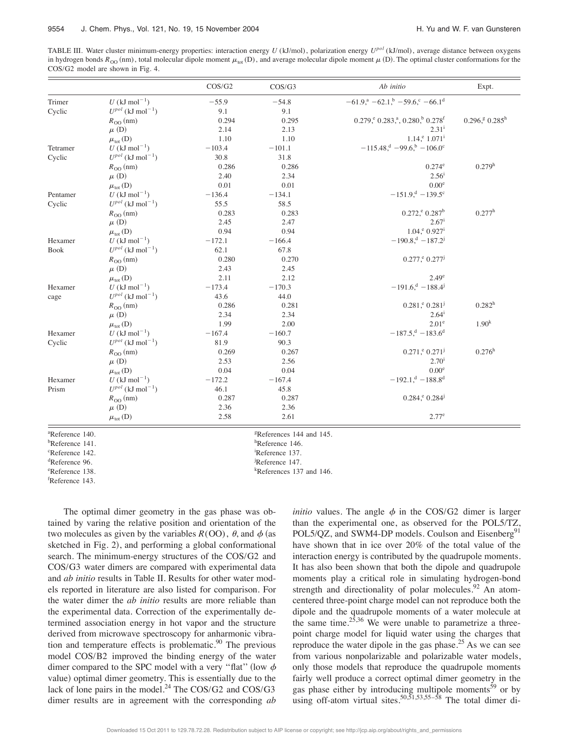TABLE III. Water cluster minimum-energy properties: interaction energy *U* (kJ/mol), polarization energy *Upol* (kJ/mol), average distance between oxygens in hydrogen bonds  $R_{\rm OO}$  (nm), total molecular dipole moment  $\mu_{\rm tot}$  (D), and average molecular dipole moment  $\mu$  (D). The optimal cluster conformations for the COS/G2 model are shown in Fig. 4.

|                             |                                           | COS/G2   | COS/G3                               | Ab initio                                                                           | Expt.                           |
|-----------------------------|-------------------------------------------|----------|--------------------------------------|-------------------------------------------------------------------------------------|---------------------------------|
| Trimer                      | $U$ (kJ mol <sup>-1</sup> )               | $-55.9$  | $-54.8$                              | $-61.9$ <sup>a</sup> $-62.1$ <sup>b</sup> $-59.6$ <sup>c</sup> $-66.1$ <sup>d</sup> |                                 |
| Cyclic                      | $U^{pol}$ (kJ mol <sup>-1</sup> )         | 9.1      | 9.1                                  |                                                                                     |                                 |
|                             | $R_{OO}(nm)$                              | 0.294    | 0.295                                | $0.279, ^{\rm e}$ 0.283, <sup>a</sup> , 0.280, <sup>b</sup> 0.278 <sup>f</sup>      | $0.296$ , $80.285$ <sup>h</sup> |
|                             | $\mu$ (D)                                 | 2.14     | 2.13                                 | $2.31^{i}$                                                                          |                                 |
|                             | $\mu_{\text{tot}}$ (D)                    | 1.10     | 1.10                                 | $1.14$ , $^e 1.071$ <sup>i</sup>                                                    |                                 |
| Tetramer                    | U (kJ mol <sup>-1</sup> )                 | $-103.4$ | $-101.1$                             | $-115.48$ , $^{d}$ $-99.6$ , $^{b}$ $-106.0$ <sup>c</sup>                           |                                 |
| Cyclic                      | $U^{pol}$ (kJ mol <sup>-1</sup> )         | 30.8     | 31.8                                 |                                                                                     |                                 |
|                             | $R_{\rm OO}$ (nm)                         | 0.286    | 0.286                                | $0.274^e$                                                                           | 0.279 <sup>h</sup>              |
|                             | $\mu$ (D)                                 | 2.40     | 2.34                                 | $2.56^{i}$                                                                          |                                 |
|                             | $\mu_{\text{tot}}$ (D)                    | 0.01     | 0.01                                 | 0.00 <sup>e</sup>                                                                   |                                 |
| Pentamer                    | U (kJ mol <sup>-1</sup> )                 | $-136.4$ | $-134.1$                             | $-151.9$ <sup>d</sup> $-139.5$ <sup>c</sup>                                         |                                 |
| Cyclic                      | $U^{pol}$ (kJ mol <sup>-1</sup> )         | 55.5     | 58.5                                 |                                                                                     |                                 |
|                             | $R_{\rm OO}$ (nm)                         | 0.283    | 0.283                                | $0.272, ^{\rm e}$ 0.287 <sup>b</sup>                                                | $0.277^{\rm h}$                 |
|                             | $\mu$ (D)                                 | 2.45     | 2.47                                 | $2.67^{\rm i}$                                                                      |                                 |
|                             | $\mu_{\text{tot}}$ (D)                    | 0.94     | 0.94                                 | $1.04$ , $^{e}$ 0.927 <sup>i</sup>                                                  |                                 |
| Hexamer                     | $U$ (kJ mol <sup>-1</sup> )               | $-172.1$ | $-166.4$                             | $-190.8$ , $-187.2$                                                                 |                                 |
| <b>Book</b>                 | $U^{pol}$ (kJ mol <sup>-1</sup> )         | 62.1     | 67.8                                 |                                                                                     |                                 |
|                             | $R_{\rm OO}$ (nm)                         | 0.280    | 0.270                                | $0.277, ^{\rm e} 0.277^{\rm j}$                                                     |                                 |
|                             | $\mu$ (D)                                 | 2.43     | 2.45                                 |                                                                                     |                                 |
|                             | $\mu_{\text{tot}}$ (D)                    | 2.11     | 2.12                                 | $2.49^\circ$                                                                        |                                 |
| Hexamer                     | U (kJ mol <sup>-1</sup> )                 | $-173.4$ | $-170.3$                             | $-191.6$ , $-188.4$                                                                 |                                 |
| cage                        | $U^{pol}$ (kJ mol <sup>-1</sup> )         | 43.6     | 44.0                                 |                                                                                     |                                 |
|                             | $R_{\rm OO}$ (nm)                         | 0.286    | 0.281                                | $0.281$ , $^{\circ}$ $0.281$ <sup>j</sup>                                           | $0.282^{\rm h}$                 |
|                             | $\mu$ (D)                                 | 2.34     | 2.34                                 | $2.64^{i}$                                                                          |                                 |
|                             | $\mu_{\text{tot}}$ (D)                    | 1.99     | 2.00                                 | $2.01^{\circ}$                                                                      | 1.90 <sup>k</sup>               |
| Hexamer                     | $U$ (kJ mol <sup>-1</sup> )               | $-167.4$ | $-160.7$                             | $-187.5$ , $-183.6$ <sup>d</sup>                                                    |                                 |
| Cyclic                      | $U^{pot}$ (kJ mol <sup>-1</sup> )         | 81.9     | 90.3                                 |                                                                                     |                                 |
|                             | $R_{\rm OO}$ (nm)                         | 0.269    | 0.267                                | $0.271$ , $^{\rm e}$ 0.271 <sup>j</sup>                                             | $0.276^{\rm h}$                 |
|                             | $\mu$ (D)                                 | 2.53     | 2.56                                 | $2.70^{i}$                                                                          |                                 |
|                             | $\mu_{\text{tot}}$ (D)                    | 0.04     | 0.04                                 | 0.00 <sup>e</sup>                                                                   |                                 |
| Hexamer                     | U (kJ mol <sup>-1</sup> )                 | $-172.2$ | $-167.4$                             | $-192.1$ , $d - 188.8$ <sup>d</sup>                                                 |                                 |
| Prism                       | $U^{pol}$ (kJ mol <sup>-1</sup> )         | 46.1     | 45.8                                 |                                                                                     |                                 |
|                             | $R_{\rm OO}$ (nm)                         | 0.287    | 0.287                                | $0.284$ , $^{\circ}$ 0.284 <sup>j</sup>                                             |                                 |
|                             | $\mu$ (D)                                 | 2.36     | 2.36                                 |                                                                                     |                                 |
|                             | $\mu_{\text{tot}}\left(\mathbf{D}\right)$ | 2.58     | 2.61                                 | 2.77 <sup>e</sup>                                                                   |                                 |
| <sup>a</sup> Reference 140. |                                           |          | <sup>g</sup> References 144 and 145. |                                                                                     |                                 |
| <sup>b</sup> Reference 141. |                                           |          | ${}^{\text{h}}$ Reference 146.       |                                                                                     |                                 |
| <sup>c</sup> Reference 142. |                                           |          | <sup>1</sup> Reference 137.          |                                                                                     |                                 |

Reference 147.

References 137 and 146.

de Reference 96.

e Reference 138.

f Reference 143.

The optimal dimer geometry in the gas phase was obtained by varing the relative position and orientation of the two molecules as given by the variables  $R(OO)$ ,  $\theta$ , and  $\phi$  (as sketched in Fig. 2), and performing a global conformational search. The minimum-energy structures of the COS/G2 and COS/G3 water dimers are compared with experimental data and *ab initio* results in Table II. Results for other water models reported in literature are also listed for comparison. For the water dimer the *ab initio* results are more reliable than the experimental data. Correction of the experimentally determined association energy in hot vapor and the structure derived from microwave spectroscopy for anharmonic vibration and temperature effects is problematic. $90$  The previous model COS/B2 improved the binding energy of the water dimer compared to the SPC model with a very "flat" (low  $\phi$ value) optimal dimer geometry. This is essentially due to the lack of lone pairs in the model.<sup>24</sup> The COS/G2 and COS/G3 dimer results are in agreement with the corresponding *ab*

*initio* values. The angle  $\phi$  in the COS/G2 dimer is larger than the experimental one, as observed for the POL5/TZ, POL5/QZ, and SWM4-DP models. Coulson and Eisenberg<sup>91</sup> have shown that in ice over 20% of the total value of the interaction energy is contributed by the quadrupole moments. It has also been shown that both the dipole and quadrupole moments play a critical role in simulating hydrogen-bond strength and directionality of polar molecules.<sup>92</sup> An atomcentered three-point charge model can not reproduce both the dipole and the quadrupole moments of a water molecule at the same time.<sup>25,36</sup> We were unable to parametrize a threepoint charge model for liquid water using the charges that reproduce the water dipole in the gas phase.<sup>25</sup> As we can see from various nonpolarizable and polarizable water models, only those models that reproduce the quadrupole moments fairly well produce a correct optimal dimer geometry in the gas phase either by introducing multipole moments<sup>59</sup> or by using off-atom virtual sites.<sup>50,51,53,55–58</sup> The total dimer di-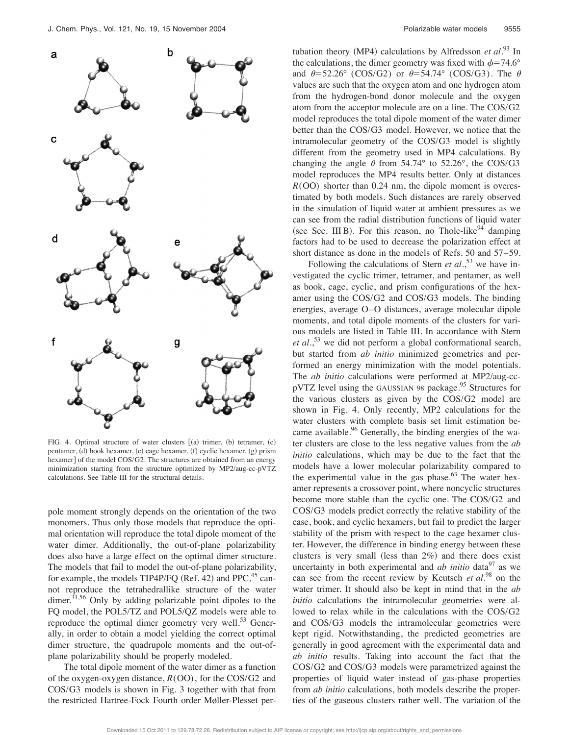

FIG. 4. Optimal structure of water clusters [(a) trimer, (b) tetramer, (c) pentamer, (d) book hexamer, (e) cage hexamer, (f) cyclic hexamer, (g) prism hexamer] of the model COS/G2. The structures are obtained from an energy minimization starting from the structure optimized by MP2/aug-cc-pVTZ calculations. See Table III for the structural details.

pole moment strongly depends on the orientation of the two monomers. Thus only those models that reproduce the optimal orientation will reproduce the total dipole moment of the water dimer. Additionally, the out-of-plane polarizability does also have a large effect on the optimal dimer structure. The models that fail to model the out-of-plane polarizability, for example, the models TIP4P/FQ (Ref. 42) and PPC, $45$  cannot reproduce the tetrahedrallike structure of the water dimer.<sup>31,56</sup> Only by adding polarizable point dipoles to the FQ model, the POL5/TZ and POL5/QZ models were able to reproduce the optimal dimer geometry very well. $53$  Generally, in order to obtain a model yielding the correct optimal dimer structure, the quadrupole moments and the out-ofplane polarizability should be properly modeled.

The total dipole moment of the water dimer as a function of the oxygen-oxygen distance, *R*(OO), for the COS/G2 and COS/G3 models is shown in Fig. 3 together with that from the restricted Hartree-Fock Fourth order Møller-Plesset pertubation theory (MP4) calculations by Alfredsson *et al.*<sup>93</sup> In the calculations, the dimer geometry was fixed with  $\phi = 74.6^{\circ}$ and  $\theta$ =52.26° (COS/G2) or  $\theta$ =54.74° (COS/G3). The  $\theta$ values are such that the oxygen atom and one hydrogen atom from the hydrogen-bond donor molecule and the oxygen atom from the acceptor molecule are on a line. The COS/G2 model reproduces the total dipole moment of the water dimer better than the COS/G3 model. However, we notice that the intramolecular geometry of the COS/G3 model is slightly different from the geometry used in MP4 calculations. By changing the angle  $\theta$  from 54.74° to 52.26°, the COS/G3 model reproduces the MP4 results better. Only at distances *R*(OO) shorter than 0.24 nm, the dipole moment is overestimated by both models. Such distances are rarely observed in the simulation of liquid water at ambient pressures as we can see from the radial distribution functions of liquid water (see Sec. III B). For this reason, no Thole-like $94$  damping factors had to be used to decrease the polarization effect at short distance as done in the models of Refs. 50 and 57–59.

Following the calculations of Stern *et al.*<sup>53</sup> we have investigated the cyclic trimer, tetramer, and pentamer, as well as book, cage, cyclic, and prism configurations of the hexamer using the COS/G2 and COS/G3 models. The binding energies, average O–O distances, average molecular dipole moments, and total dipole moments of the clusters for various models are listed in Table III. In accordance with Stern *et al.*, <sup>53</sup> we did not perform a global conformational search, but started from *ab initio* minimized geometries and performed an energy minimization with the model potentials. The *ab initio* calculations were performed at MP2/aug-cc $pVTZ$  level using the GAUSSIAN 98 package.<sup>95</sup> Structures for the various clusters as given by the COS/G2 model are shown in Fig. 4. Only recently, MP2 calculations for the water clusters with complete basis set limit estimation became available.<sup>96</sup> Generally, the binding energies of the water clusters are close to the less negative values from the *ab initio* calculations, which may be due to the fact that the models have a lower molecular polarizability compared to the experimental value in the gas phase. $63$  The water hexamer represents a crossover point, where noncyclic structures become more stable than the cyclic one. The COS/G2 and COS/G3 models predict correctly the relative stability of the case, book, and cyclic hexamers, but fail to predict the larger stability of the prism with respect to the cage hexamer cluster. However, the difference in binding energy between these clusters is very small (less than  $2\%$ ) and there does exist uncertainty in both experimental and *ab initio* data<sup>97</sup> as we can see from the recent review by Keutsch *et al.*<sup>98</sup> on the water trimer. It should also be kept in mind that in the *ab initio* calculations the intramolecular geometries were allowed to relax while in the calculations with the COS/G2 and COS/G3 models the intramolecular geometries were kept rigid. Notwithstanding, the predicted geometries are generally in good agreement with the experimental data and *ab initio* results. Taking into account the fact that the COS/G2 and COS/G3 models were parametrized against the properties of liquid water instead of gas-phase properties from *ab initio* calculations, both models describe the properties of the gaseous clusters rather well. The variation of the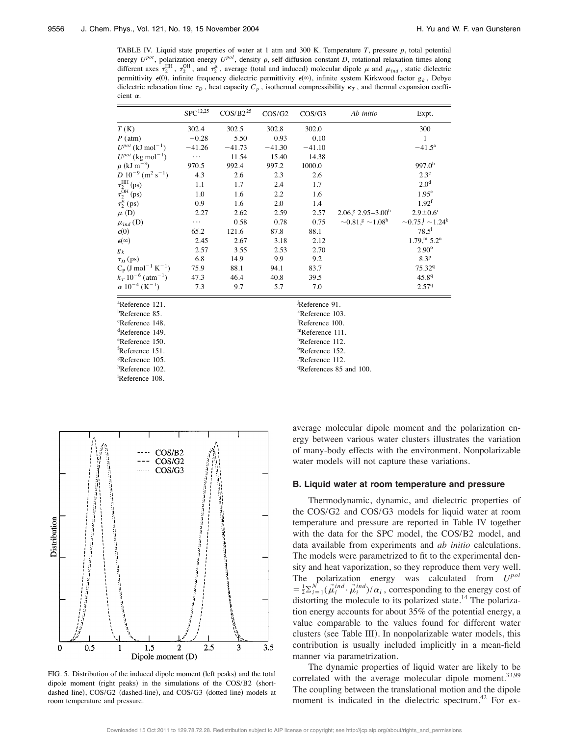TABLE IV. Liquid state properties of water at 1 atm and 300 K. Temperature *T*, pressure *p*, total potential energy  $U^{pot}$ , polarization energy  $U^{pol}$ , density  $\rho$ , self-diffusion constant *D*, rotational relaxation times along different axes  $\tau_2^{\text{HH}}$ ,  $\tau_2^{\text{OH}}$ , and  $\tau_2^{\mu}$ , average (total and induced) molecular dipole  $\mu$  and  $\mu_{ind}$ , static dielectric permittivity  $\epsilon(0)$ , infinite frequency dielectric permittivity  $\epsilon(\infty)$ , infinite system Kirkwood factor  $g_k$ , Debye dielectric relaxation time  $\tau_D$ , heat capacity  $C_p$ , isothermal compressibility  $\kappa_T$ , and thermal expansion coefficient  $\alpha$ .

|                                               | ${\rm SPC}^{12,25}$                 | $\cos/B2^{25}$              | $\cos/G2$ | COS/G3        | Ab initio                                           | Expt.                                  |  |
|-----------------------------------------------|-------------------------------------|-----------------------------|-----------|---------------|-----------------------------------------------------|----------------------------------------|--|
| T(K)                                          | 302.4                               | 302.5                       | 302.8     | 302.0         |                                                     | 300                                    |  |
| $P$ (atm)                                     | $-0.28$                             | 5.50                        | 0.93      | 0.10          |                                                     | $\mathbf{1}$                           |  |
| $U^{pot}$ (kJ mol <sup>-1</sup> )             | $-41.26$                            | $-41.73$                    | $-41.30$  | $-41.10$      |                                                     | $-41.5^{\circ}$                        |  |
| $U^{pot}$ (kg mol <sup>-1</sup> )             | $\ldots$                            | 11.54                       | 15.40     | 14.38         |                                                     |                                        |  |
| $\rho$ (kJ m <sup>-3</sup> )                  | 970.5                               | 992.4                       | 997.2     | 1000.0        |                                                     | 997.0 <sup>b</sup>                     |  |
| $D 10^{-9}$ (m <sup>2</sup> s <sup>-1</sup> ) | 4.3                                 | 2.6                         | 2.3       | 2.6           |                                                     | $2.3^{\circ}$                          |  |
| $\tau_2^{\text{HH}}$ (ps)                     | 1.1                                 | 1.7                         | 2.4       | 1.7           |                                                     | 2.0 <sup>d</sup>                       |  |
| $\tau_2^{\rm OH}$ (ps)                        | 1.0                                 | 1.6                         | 2.2       | 1.6           |                                                     | 1.95 <sup>e</sup>                      |  |
| $\tau_2^{\mu}$ (ps)                           | 0.9                                 | 1.6                         | 2.0       | 1.4           |                                                     | $1.92^f$                               |  |
| $\mu$ (D)                                     | 2.27                                | 2.62                        | 2.59      | 2.57          | $2.06$ , $\frac{9}{2}$ , $2.95 - 3.00$ <sup>h</sup> | $2.9 \pm 0.6$ <sup>1</sup>             |  |
| $\mu_{ind}$ (D)                               | $\cdots$                            | 0.58                        | 0.78      | 0.75          | $\sim 0.81$ s $\sim 1.08^{\rm h}$                   | $\sim 0.75$ , $\sim 1.24$ <sup>k</sup> |  |
| $\epsilon(0)$                                 | 65.2                                | 121.6                       | 87.8      | 88.1          |                                                     | $78.5^1$                               |  |
| $\epsilon^{(\infty)}$                         | 2.45                                | 2.67                        | 3.18      | 2.12          |                                                     | $1.79$ , $m = 5.2$ <sup>n</sup>        |  |
| $g_k$                                         | 2.57                                | 3.55                        | 2.53      | 2.70          |                                                     | $2.90^\circ$                           |  |
| $\tau_D$ (ps)                                 | 6.8                                 | 14.9                        | 9.9       | 9.2           |                                                     | 8.3 <sup>p</sup>                       |  |
| $C_P$ (J mol <sup>-1</sup> K <sup>-1</sup> )  | 75.9                                | 88.1                        | 94.1      | 83.7          |                                                     | 75.329                                 |  |
| $k_T$ 10 <sup>-6</sup> (atm <sup>-1</sup> )   | 47.3                                | 46.4                        | 40.8      | 39.5          |                                                     | 45.89                                  |  |
| $\alpha$ 10 <sup>-4</sup> (K <sup>-1</sup> )  | 7.3                                 | 9.7                         | 5.7       | 7.0           |                                                     | 2.579                                  |  |
| <sup>a</sup> Reference 121.                   |                                     |                             |           | Reference 91. |                                                     |                                        |  |
| <sup>b</sup> Reference 85.                    |                                     | <sup>k</sup> Reference 103. |           |               |                                                     |                                        |  |
| <sup>c</sup> Reference 148.                   |                                     | Reference 100.              |           |               |                                                     |                                        |  |
| <sup>d</sup> Reference 149.                   | <sup>m</sup> Reference 111.         |                             |           |               |                                                     |                                        |  |
| <sup>e</sup> Reference 150.                   | <sup>n</sup> Reference 112.         |                             |           |               |                                                     |                                        |  |
| <sup>f</sup> Reference 151.                   | <sup>o</sup> Reference 152.         |                             |           |               |                                                     |                                        |  |
| <sup>g</sup> Reference 105.                   | <sup>P</sup> Reference 112.         |                             |           |               |                                                     |                                        |  |
| <sup>h</sup> Reference 102.                   | <sup>q</sup> References 85 and 100. |                             |           |               |                                                     |                                        |  |



i Reference 108.

FIG. 5. Distribution of the induced dipole moment (left peaks) and the total dipole moment (right peaks) in the simulations of the COS/B2 (shortdashed line), COS/G2 (dashed-line), and COS/G3 (dotted line) models at room temperature and pressure.

average molecular dipole moment and the polarization energy between various water clusters illustrates the variation of many-body effects with the environment. Nonpolarizable water models will not capture these variations.

#### **B. Liquid water at room temperature and pressure**

Thermodynamic, dynamic, and dielectric properties of the COS/G2 and COS/G3 models for liquid water at room temperature and pressure are reported in Table IV together with the data for the SPC model, the COS/B2 model, and data available from experiments and *ab initio* calculations. The models were parametrized to fit to the experimental density and heat vaporization, so they reproduce them very well. The polarization energy was calculated from *Upol*  $= \frac{1}{2} \sum_{i=1}^{N} (\vec{\mu}_i^{ind} \cdot \vec{\mu}_i^{ind})/\alpha_i$ , corresponding to the energy cost of distorting the molecule to its polarized state.<sup>14</sup> The polarization energy accounts for about 35% of the potential energy, a value comparable to the values found for different water clusters (see Table III). In nonpolarizable water models, this contribution is usually included implicitly in a mean-field manner via parametrization.

The dynamic properties of liquid water are likely to be correlated with the average molecular dipole moment. $33,99$ The coupling between the translational motion and the dipole moment is indicated in the dielectric spectrum.<sup>42</sup> For ex-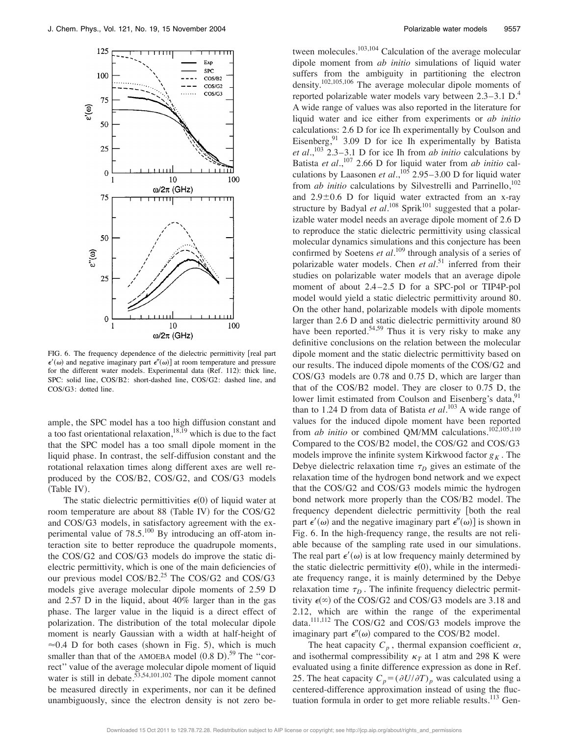

FIG. 6. The frequency dependence of the dielectric permittivity [real part  $\epsilon'(\omega)$  and negative imaginary part  $\epsilon''(\omega)$  at room temperature and pressure for the different water models. Experimental data (Ref. 112): thick line, SPC: solid line, COS/B2: short-dashed line, COS/G2: dashed line, and COS/G3: dotted line.

ample, the SPC model has a too high diffusion constant and a too fast orientational relaxation, $18,19$  which is due to the fact that the SPC model has a too small dipole moment in the liquid phase. In contrast, the self-diffusion constant and the rotational relaxation times along different axes are well reproduced by the COS/B2, COS/G2, and COS/G3 models (Table IV).

The static dielectric permittivities  $\epsilon(0)$  of liquid water at room temperature are about 88 (Table IV) for the COS/G2 and COS/G3 models, in satisfactory agreement with the experimental value of  $78.5^{100}$  By introducing an off-atom interaction site to better reproduce the quadrupole moments, the COS/G2 and COS/G3 models do improve the static dielectric permittivity, which is one of the main deficiencies of our previous model COS/B2.<sup>25</sup> The COS/G2 and COS/G3 models give average molecular dipole moments of 2.59 D and 2.57 D in the liquid, about 40% larger than in the gas phase. The larger value in the liquid is a direct effect of polarization. The distribution of the total molecular dipole moment is nearly Gaussian with a width at half-height of  $\approx 0.4$  D for both cases (shown in Fig. 5), which is much smaller than that of the AMOEBA model  $(0.8 \text{ D})$ .<sup>59</sup> The "correct'' value of the average molecular dipole moment of liquid water is still in debate. $\frac{53,54,101,102}{53}$  The dipole moment cannot be measured directly in experiments, nor can it be defined unambiguously, since the electron density is not zero be-

tween molecules. $103,104$  Calculation of the average molecular dipole moment from *ab initio* simulations of liquid water suffers from the ambiguity in partitioning the electron density.102,105,106 The average molecular dipole moments of reported polarizable water models vary between 2.3–3.1 D.4 A wide range of values was also reported in the literature for liquid water and ice either from experiments or *ab initio* calculations: 2.6 D for ice Ih experimentally by Coulson and Eisenberg,<sup>91</sup> 3.09 D for ice Ih experimentally by Batista *et al.*, <sup>103</sup> 2.3–3.1 D for ice Ih from *ab initio* calculations by Batista *et al.*, <sup>107</sup> 2.66 D for liquid water from *ab initio* calculations by Laasonen *et al.*, <sup>105</sup> 2.95–3.00 D for liquid water from *ab initio* calculations by Silvestrelli and Parrinello,<sup>102</sup> and  $2.9 \pm 0.6$  D for liquid water extracted from an x-ray structure by Badyal *et al*.<sup>108</sup> Sprik<sup>101</sup> suggested that a polarizable water model needs an average dipole moment of 2.6 D to reproduce the static dielectric permittivity using classical molecular dynamics simulations and this conjecture has been confirmed by Soetens *et al.*<sup>109</sup> through analysis of a series of polarizable water models. Chen *et al.*<sup>51</sup> inferred from their studies on polarizable water models that an average dipole moment of about 2.4 –2.5 D for a SPC-pol or TIP4P-pol model would yield a static dielectric permittivity around 80. On the other hand, polarizable models with dipole moments larger than 2.6 D and static dielectric permittivity around 80 have been reported.<sup>54,59</sup> Thus it is very risky to make any definitive conclusions on the relation between the molecular dipole moment and the static dielectric permittivity based on our results. The induced dipole moments of the COS/G2 and COS/G3 models are 0.78 and 0.75 D, which are larger than that of the COS/B2 model. They are closer to 0.75 D, the lower limit estimated from Coulson and Eisenberg's data,<sup>91</sup> than to 1.24 D from data of Batista *et al.*<sup>103</sup> A wide range of values for the induced dipole moment have been reported from *ab initio* or combined QM/MM calculations.<sup>102,105,110</sup> Compared to the COS/B2 model, the COS/G2 and COS/G3 models improve the infinite system Kirkwood factor  $g<sub>K</sub>$ . The Debye dielectric relaxation time  $\tau_D$  gives an estimate of the relaxation time of the hydrogen bond network and we expect that the COS/G2 and COS/G3 models mimic the hydrogen bond network more properly than the COS/B2 model. The frequency dependent dielectric permittivity [both the real part  $\epsilon'(\omega)$  and the negative imaginary part  $\epsilon''(\omega)$  is shown in Fig. 6. In the high-frequency range, the results are not reliable because of the sampling rate used in our simulations. The real part  $\epsilon'(\omega)$  is at low frequency mainly determined by the static dielectric permittivity  $\epsilon(0)$ , while in the intermediate frequency range, it is mainly determined by the Debye relaxation time  $\tau_D$ . The infinite frequency dielectric permittivity  $\epsilon(\infty)$  of the COS/G2 and COS/G3 models are 3.18 and 2.12, which are within the range of the experimental data.111,112 The COS/G2 and COS/G3 models improve the imaginary part  $\epsilon''(\omega)$  compared to the COS/B2 model.

The heat capacity  $C_p$ , thermal expansion coefficient  $\alpha$ , and isothermal compressibility  $\kappa_T$  at 1 atm and 298 K were evaluated using a finite difference expression as done in Ref. 25. The heat capacity  $C_p = (\partial U / \partial T)_p$  was calculated using a centered-difference approximation instead of using the fluctuation formula in order to get more reliable results.<sup>113</sup> Gen-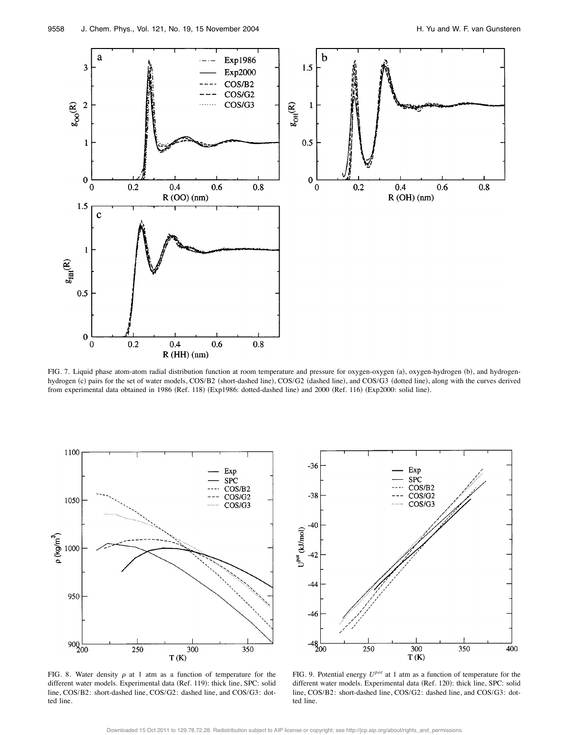

FIG. 7. Liquid phase atom-atom radial distribution function at room temperature and pressure for oxygen-oxygen (a), oxygen-hydrogen (b), and hydrogenhydrogen (c) pairs for the set of water models, COS/B2 (short-dashed line), COS/G2 (dashed line), and COS/G3 (dotted line), along with the curves derived from experimental data obtained in 1986 (Ref. 118) (Exp1986: dotted-dashed line) and 2000 (Ref. 116) (Exp2000: solid line).



FIG. 8. Water density  $\rho$  at 1 atm as a function of temperature for the different water models. Experimental data (Ref. 119): thick line, SPC: solid line, COS/B2: short-dashed line, COS/G2: dashed line, and COS/G3: dotted line.



FIG. 9. Potential energy *Upot* at 1 atm as a function of temperature for the different water models. Experimental data (Ref. 120): thick line, SPC: solid line, COS/B2: short-dashed line, COS/G2: dashed line, and COS/G3: dotted line.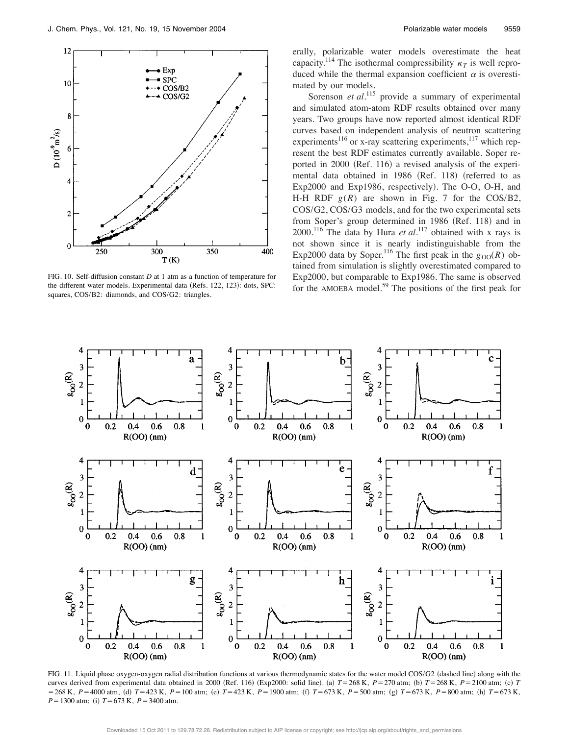

FIG. 10. Self-diffusion constant *D* at 1 atm as a function of temperature for the different water models. Experimental data (Refs. 122, 123): dots, SPC: squares, COS/B2: diamonds, and COS/G2: triangles.

erally, polarizable water models overestimate the heat capacity.<sup>114</sup> The isothermal compressibility  $\kappa_T$  is well reproduced while the thermal expansion coefficient  $\alpha$  is overestimated by our models.

Sorenson *et al.*<sup>115</sup> provide a summary of experimental and simulated atom-atom RDF results obtained over many years. Two groups have now reported almost identical RDF curves based on independent analysis of neutron scattering experiments<sup>116</sup> or x-ray scattering experiments,<sup>117</sup> which represent the best RDF estimates currently available. Soper reported in 2000 (Ref. 116) a revised analysis of the experimental data obtained in 1986 (Ref. 118) (referred to as Exp2000 and Exp1986, respectively). The O-O, O-H, and H-H RDF  $g(R)$  are shown in Fig. 7 for the COS/B2, COS/G2, COS/G3 models, and for the two experimental sets from Soper's group determined in 1986 (Ref. 118) and in 2000.116 The data by Hura *et al.*<sup>117</sup> obtained with x rays is not shown since it is nearly indistinguishable from the Exp2000 data by Soper.<sup>116</sup> The first peak in the  $g_{OO}(R)$  obtained from simulation is slightly overestimated compared to Exp2000, but comparable to Exp1986. The same is observed for the AMOEBA model.<sup>59</sup> The positions of the first peak for



FIG. 11. Liquid phase oxygen-oxygen radial distribution functions at various thermodynamic states for the water model COS/G2 (dashed line) along with the curves derived from experimental data obtained in 2000 (Ref. 116) (Exp2000: solid line). (a)  $T = 268$  K,  $P = 270$  atm; (b)  $T = 268$  K,  $P = 2100$  atm; (c)  $T$  $= 268 \text{ K}$ ,  $P = 4000 \text{ atm}$ , (d)  $T = 423 \text{ K}$ ,  $P = 100 \text{ atm}$ ; (e)  $T = 423 \text{ K}$ ,  $P = 1900 \text{ atm}$ ; (f)  $T = 673 \text{ K}$ ,  $P = 500 \text{ atm}$ ; (g)  $T = 673 \text{ K}$ ,  $P = 800 \text{ atm}$ ; (h)  $T = 673 \text{ K}$ ,  $P = 1300$  atm; (i)  $T = 673$  K,  $P = 3400$  atm.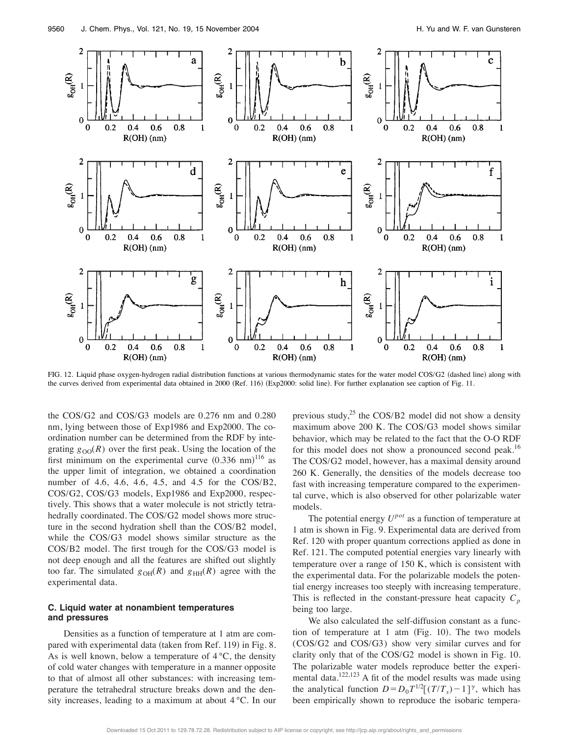

FIG. 12. Liquid phase oxygen-hydrogen radial distribution functions at various thermodynamic states for the water model COS/G2 (dashed line) along with the curves derived from experimental data obtained in 2000 (Ref. 116) (Exp2000: solid line). For further explanation see caption of Fig. 11.

the COS/G2 and COS/G3 models are 0.276 nm and 0.280 nm, lying between those of Exp1986 and Exp2000. The coordination number can be determined from the RDF by integrating  $g_{OO}(R)$  over the first peak. Using the location of the first minimum on the experimental curve  $(0.336 \text{ nm})^{116}$  as the upper limit of integration, we obtained a coordination number of 4.6, 4.6, 4.6, 4.5, and 4.5 for the COS/B2, COS/G2, COS/G3 models, Exp1986 and Exp2000, respectively. This shows that a water molecule is not strictly tetrahedrally coordinated. The COS/G2 model shows more structure in the second hydration shell than the COS/B2 model, while the COS/G3 model shows similar structure as the COS/B2 model. The first trough for the COS/G3 model is not deep enough and all the features are shifted out slightly too far. The simulated  $g_{OH}(R)$  and  $g_{HH}(R)$  agree with the experimental data.

#### **C. Liquid water at nonambient temperatures and pressures**

Densities as a function of temperature at 1 atm are compared with experimental data (taken from Ref. 119) in Fig. 8. As is well known, below a temperature of  $4^{\circ}C$ , the density of cold water changes with temperature in a manner opposite to that of almost all other substances: with increasing temperature the tetrahedral structure breaks down and the density increases, leading to a maximum at about 4 °C. In our previous study,<sup>25</sup> the COS/B2 model did not show a density maximum above 200 K. The COS/G3 model shows similar behavior, which may be related to the fact that the O-O RDF for this model does not show a pronounced second peak.<sup>16</sup> The COS/G2 model, however, has a maximal density around 260 K. Generally, the densities of the models decrease too fast with increasing temperature compared to the experimental curve, which is also observed for other polarizable water models.

The potential energy *Upot* as a function of temperature at 1 atm is shown in Fig. 9. Experimental data are derived from Ref. 120 with proper quantum corrections applied as done in Ref. 121. The computed potential energies vary linearly with temperature over a range of 150 K, which is consistent with the experimental data. For the polarizable models the potential energy increases too steeply with increasing temperature. This is reflected in the constant-pressure heat capacity  $C_p$ being too large.

We also calculated the self-diffusion constant as a function of temperature at  $1$  atm (Fig. 10). The two models (COS/G2 and COS/G3) show very similar curves and for clarity only that of the COS/G2 model is shown in Fig. 10. The polarizable water models reproduce better the experimental data.122,123 A fit of the model results was made using the analytical function  $D = D_0 T^{1/2} [(T/T_s) - 1]^{\gamma}$ , which has been empirically shown to reproduce the isobaric tempera-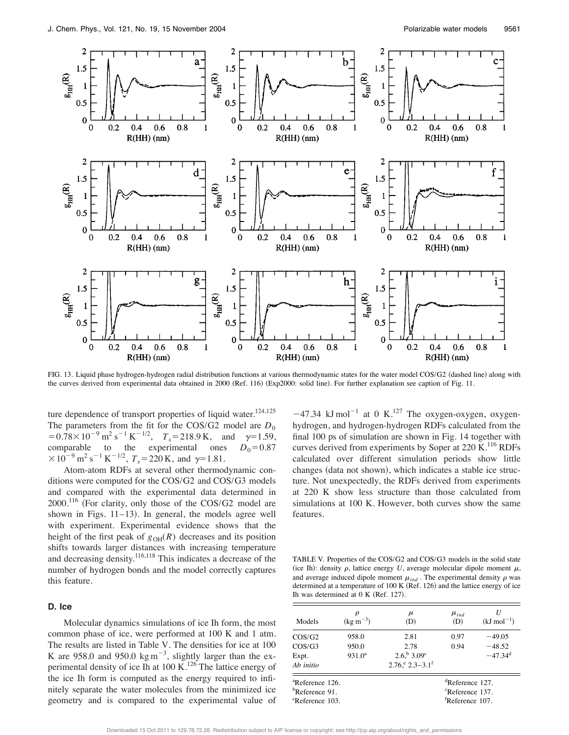

FIG. 13. Liquid phase hydrogen-hydrogen radial distribution functions at various thermodynamic states for the water model COS/G2 (dashed line) along with the curves derived from experimental data obtained in 2000 (Ref. 116) (Exp2000: solid line). For further explanation see caption of Fig. 11.

ture dependence of transport properties of liquid water.<sup>124,125</sup> The parameters from the fit for the COS/G2 model are  $D_0$  $= 0.78 \times 10^{-9} \text{ m}^2 \text{ s}^{-1} \text{ K}^{-1/2}, \quad T_s = 218.9 \text{ K}, \quad \text{and} \quad \gamma = 1.59,$ comparable to the experimental ones  $D_0 = 0.87$  $\times 10^{-9}$  m<sup>2</sup> s<sup>-1</sup> K<sup>-1/2</sup>,  $T_s$ =220 K, and  $\gamma$ =1.81.

Atom-atom RDFs at several other thermodynamic conditions were computed for the COS/G2 and COS/G3 models and compared with the experimental data determined in  $2000$ .<sup>116</sup> (For clarity, only those of the COS/G2 model are shown in Figs.  $11-13$ ). In general, the models agree well with experiment. Experimental evidence shows that the height of the first peak of  $g<sub>OH</sub>(R)$  decreases and its position shifts towards larger distances with increasing temperature and decreasing density.116,118 This indicates a decrease of the number of hydrogen bonds and the model correctly captures this feature.

#### **D. Ice**

Molecular dynamics simulations of ice Ih form, the most common phase of ice, were performed at 100 K and 1 atm. The results are listed in Table V. The densities for ice at 100 K are 958.0 and 950.0  $\text{kg m}^{-3}$ , slightly larger than the experimental density of ice Ih at 100 K.<sup>126</sup> The lattice energy of the ice Ih form is computed as the energy required to infinitely separate the water molecules from the minimized ice geometry and is compared to the experimental value of  $-47.34$  kJ mol<sup>-1</sup> at 0 K.<sup>127</sup> The oxygen-oxygen, oxygenhydrogen, and hydrogen-hydrogen RDFs calculated from the final 100 ps of simulation are shown in Fig. 14 together with curves derived from experiments by Soper at  $220 \text{ K}$ .<sup>116</sup> RDFs calculated over different simulation periods show little changes (data not shown), which indicates a stable ice structure. Not unexpectedly, the RDFs derived from experiments at 220 K show less structure than those calculated from simulations at 100 K. However, both curves show the same features.

TABLE V. Properties of the COS/G2 and COS/G3 models in the solid state (ice Ih): density  $\rho$ , lattice energy *U*, average molecular dipole moment  $\mu$ , and average induced dipole moment  $\mu_{ind}$ . The experimental density  $\rho$  was determined at a temperature of  $100 \text{ K}$  (Ref. 126) and the lattice energy of ice Ih was determined at  $0 K (Ref. 127)$ .

| Models                      | $(\text{kg m}^{-3})$ | μ<br>(D)                                   | $\mu_{ind}$<br>(D)          | $(kJ \text{ mol}^{-1})$ |  |  |
|-----------------------------|----------------------|--------------------------------------------|-----------------------------|-------------------------|--|--|
| $\cos/G2$                   | 958.0                | 2.81                                       | 0.97                        | $-49.05$                |  |  |
| $\cos$ /G3                  | 950.0                | 2.78                                       | 0.94                        | $-48.52$                |  |  |
| Expt.                       | 931.0 <sup>a</sup>   | $2.6^{b} 3.09^{c}$                         |                             | $-47.34$ <sup>d</sup>   |  |  |
| Ab initio                   |                      | $2.76$ <sup>e</sup> $2.3-3.1$ <sup>f</sup> |                             |                         |  |  |
| <sup>a</sup> Reference 126. |                      |                                            | <sup>d</sup> Reference 127. |                         |  |  |
| <sup>b</sup> Reference 91.  |                      |                                            | <sup>c</sup> Reference 137. |                         |  |  |
| <sup>c</sup> Reference 103. |                      |                                            | <sup>†</sup> Reference 107. |                         |  |  |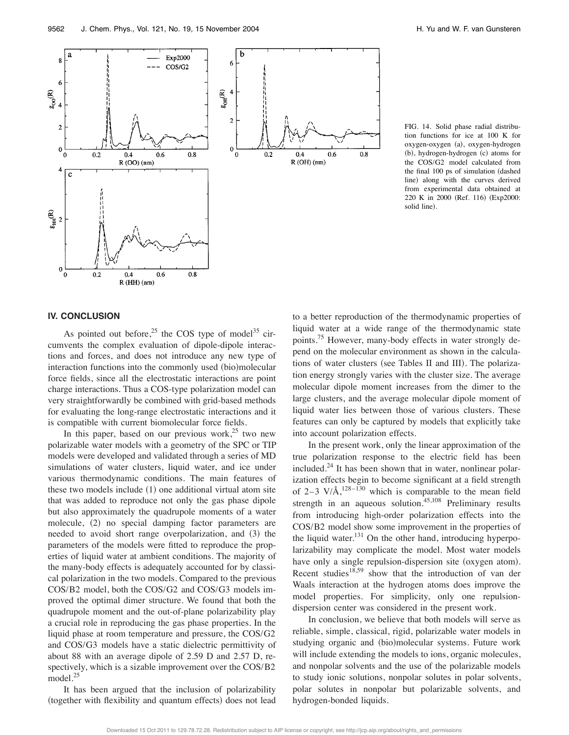

FIG. 14. Solid phase radial distribution functions for ice at 100 K for oxygen-oxygen (a), oxygen-hydrogen (b), hydrogen-hydrogen (c) atoms for the COS/G2 model calculated from the final 100 ps of simulation (dashed line) along with the curves derived from experimental data obtained at 220 K in 2000 (Ref. 116) (Exp2000: solid line).

#### **IV. CONCLUSION**

As pointed out before,<sup>25</sup> the COS type of model<sup>35</sup> circumvents the complex evaluation of dipole-dipole interactions and forces, and does not introduce any new type of interaction functions into the commonly used (bio)molecular force fields, since all the electrostatic interactions are point charge interactions. Thus a COS-type polarization model can very straightforwardly be combined with grid-based methods for evaluating the long-range electrostatic interactions and it is compatible with current biomolecular force fields.

 $R(HH)(nm)$ 

In this paper, based on our previous work, $2<sup>5</sup>$  two new polarizable water models with a geometry of the SPC or TIP models were developed and validated through a series of MD simulations of water clusters, liquid water, and ice under various thermodynamic conditions. The main features of these two models include  $(1)$  one additional virtual atom site that was added to reproduce not only the gas phase dipole but also approximately the quadrupole moments of a water molecule, (2) no special damping factor parameters are needed to avoid short range overpolarization, and (3) the parameters of the models were fitted to reproduce the properties of liquid water at ambient conditions. The majority of the many-body effects is adequately accounted for by classical polarization in the two models. Compared to the previous COS/B2 model, both the COS/G2 and COS/G3 models improved the optimal dimer structure. We found that both the quadrupole moment and the out-of-plane polarizability play a crucial role in reproducing the gas phase properties. In the liquid phase at room temperature and pressure, the COS/G2 and COS/G3 models have a static dielectric permittivity of about 88 with an average dipole of 2.59 D and 2.57 D, respectively, which is a sizable improvement over the COS/B2 model.<sup>25</sup>

It has been argued that the inclusion of polarizability (together with flexibility and quantum effects) does not lead to a better reproduction of the thermodynamic properties of liquid water at a wide range of the thermodynamic state points.75 However, many-body effects in water strongly depend on the molecular environment as shown in the calculations of water clusters (see Tables II and III). The polarization energy strongly varies with the cluster size. The average molecular dipole moment increases from the dimer to the large clusters, and the average molecular dipole moment of liquid water lies between those of various clusters. These features can only be captured by models that explicitly take into account polarization effects.

 $0.8$ 

In the present work, only the linear approximation of the true polarization response to the electric field has been included.<sup>24</sup> It has been shown that in water, nonlinear polarization effects begin to become significant at a field strength of 2–3 V/Å, $^{128-130}$  which is comparable to the mean field strength in an aqueous solution.<sup>45,108</sup> Preliminary results from introducing high-order polarization effects into the COS/B2 model show some improvement in the properties of the liquid water. $131$  On the other hand, introducing hyperpolarizability may complicate the model. Most water models have only a single repulsion-dispersion site (oxygen atom). Recent studies<sup>18,59</sup> show that the introduction of van der Waals interaction at the hydrogen atoms does improve the model properties. For simplicity, only one repulsiondispersion center was considered in the present work.

In conclusion, we believe that both models will serve as reliable, simple, classical, rigid, polarizable water models in studying organic and (bio)molecular systems. Future work will include extending the models to ions, organic molecules, and nonpolar solvents and the use of the polarizable models to study ionic solutions, nonpolar solutes in polar solvents, polar solutes in nonpolar but polarizable solvents, and hydrogen-bonded liquids.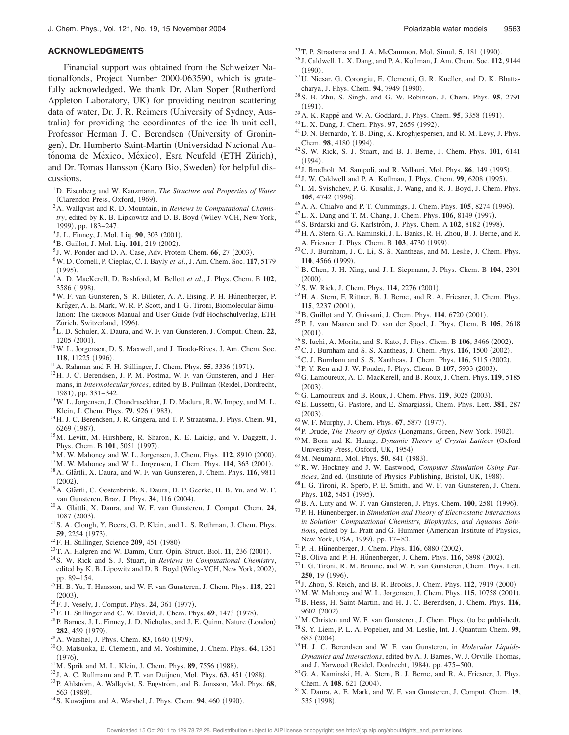#### **ACKNOWLEDGMENTS**

Financial support was obtained from the Schweizer Nationalfonds, Project Number 2000-063590, which is gratefully acknowledged. We thank Dr. Alan Soper (Rutherford Appleton Laboratory, UK) for providing neutron scattering data of water, Dr. J. R. Reimers (University of Sydney, Australia) for providing the coordinates of the ice Ih unit cell, Professor Herman J. C. Berendsen (University of Groningen), Dr. Humberto Saint-Martin (Universidad Nacional Autónoma de México, México), Esra Neufeld (ETH Zürich), and Dr. Tomas Hansson (Karo Bio, Sweden) for helpful discussions.

- 1D. Eisenberg and W. Kauzmann, *The Structure and Properties of Water* (Clarendon Press, Oxford, 1969).
- 2A. Wallqvist and R. D. Mountain, in *Reviews in Computational Chemis*try, edited by K. B. Lipkowitz and D. B. Boyd (Wiley-VCH, New York, 1999), pp. 183-247.
- <sup>3</sup> J. L. Finney, J. Mol. Liq. **90**, 303 (2001).
- <sup>4</sup>B. Guillot, J. Mol. Liq. **101**, 219 (2002).
- $5$  J. W. Ponder and D. A. Case, Adv. Protein Chem.  $66$ ,  $27$   $(2003)$ .
- 6W. D. Cornell, P. Cieplak, C. I. Bayly *et al.*, J. Am. Chem. Soc. **117**, 5179  $(1995)$ .
- 7A. D. MacKerell, D. Bashford, M. Bellott *et al.*, J. Phys. Chem. B **102**, 3586 (1998).
- <sup>8</sup>W. F. van Gunsteren, S. R. Billeter, A. A. Eising, P. H. Hünenberger, P. Krüger, A. E. Mark, W. R. P. Scott, and I. G. Tironi, Biomolecular Simulation: The GROMOS Manual and User Guide (vdf Hochschulverlag, ETH Zürich, Switzerland, 1996).
- 9L. D. Schuler, X. Daura, and W. F. van Gunsteren, J. Comput. Chem. **22**, 1205 (2001).
- 10W. L. Jorgensen, D. S. Maxwell, and J. Tirado-Rives, J. Am. Chem. Soc. 118, 11225 (1996).
- $11$  A. Rahman and F. H. Stillinger, J. Chem. Phys. **55**, 3336 (1971).
- 12H. J. C. Berendsen, J. P. M. Postma, W. F. van Gunsteren, and J. Hermans, in *Intermolecular forces*, edited by B. Pullman (Reidel, Dordrecht, 1981), pp. 331-342.
- <sup>13</sup> W. L. Jorgensen, J. Chandrasekhar, J. D. Madura, R. W. Impey, and M. L. Klein, J. Chem. Phys. **79**, 926 (1983).
- 14H. J. C. Berendsen, J. R. Grigera, and T. P. Straatsma, J. Phys. Chem. **91**, 6269 (1987).
- 15M. Levitt, M. Hirshberg, R. Sharon, K. E. Laidig, and V. Daggett, J. Phys. Chem. B 101, 5051 (1997).
- <sup>16</sup> M. W. Mahoney and W. L. Jorgensen, J. Chem. Phys. **112**, 8910 (2000).
- <sup>17</sup>M. W. Mahoney and W. L. Jorgensen, J. Chem. Phys. **114**, 363 (2001).
- <sup>18</sup> A. Glättli, X. Daura, and W. F. van Gunsteren, J. Chem. Phys. **116**, 9811  $(2002)$ .
- <sup>19</sup> A. Glattli, C. Oostenbrink, X. Daura, D. P. Geerke, H. B. Yu, and W. F. van Gunsteren, Braz. J. Phys. 34, 116 (2004).
- <sup>20</sup> A. Glättli, X. Daura, and W. F. van Gunsteren, J. Comput. Chem. **24**, 1087 (2003).
- 21S. A. Clough, Y. Beers, G. P. Klein, and L. S. Rothman, J. Chem. Phys. **59**, 2254 (1973).
- <sup>22</sup> F. H. Stillinger, Science **209**, 451 (1980).
- $23$  T. A. Halgren and W. Damm, Curr. Opin. Struct. Biol.  $11$ , 236 (2001).
- 24S. W. Rick and S. J. Stuart, in *Reviews in Computational Chemistry*, edited by K. B. Lipowitz and D. B. Boyd (Wiley-VCH, New York, 2002), pp. 89–154.
- 25H. B. Yu, T. Hansson, and W. F. van Gunsteren, J. Chem. Phys. **118**, 221  $(2003).$
- <sup>26</sup> F. J. Vesely, J. Comput. Phys. **24**, 361 (1977).
- <sup>27</sup> F. H. Stillinger and C. W. David, J. Chem. Phys. **69**, 1473 (1978). <sup>28</sup> P. Barnes, J. L. Finney, J. D. Nicholas, and J. E. Quinn, Nature (London)
- 282, 459 (1979).
- <sup>29</sup> A. Warshel, J. Phys. Chem. **83**, 1640 (1979).
- 30O. Matsuoka, E. Clementi, and M. Yoshimine, J. Chem. Phys. **64**, 1351  $(1976)$ .
- <sup>31</sup>M. Sprik and M. L. Klein, J. Chem. Phys. **89**, 7556 (1988).
- $32$  J. A. C. Rullmann and P. T. van Duijnen, Mol. Phys.  $63$ ,  $451$  (1988). <sup>33</sup>P. Ahlström, A. Wallqvist, S. Engström, and B. Jönsson, Mol. Phys. 68, 563 (1989).
- $34$  S. Kuwajima and A. Warshel, J. Phys. Chem. **94**, 460 (1990).
- $35$  T. P. Straatsma and J. A. McCammon, Mol. Simul. **5**, 181 (1990).
- <sup>36</sup> J. Caldwell, L. X. Dang, and P. A. Kollman, J. Am. Chem. Soc. **112**, 9144  $(1990).$
- 37U. Niesar, G. Corongiu, E. Clementi, G. R. Kneller, and D. K. Bhattacharya, J. Phys. Chem. 94, 7949 (1990).
- 38S. B. Zhu, S. Singh, and G. W. Robinson, J. Chem. Phys. **95**, 2791  $(1991).$
- <sup>39</sup>A. K. Rappé and W. A. Goddard, J. Phys. Chem. **95**, 3358 (1991).
- <sup>40</sup> L. X. Dang, J. Chem. Phys. **97**, 2659 (1992).
- 41D. N. Bernardo, Y. B. Ding, K. Kroghjespersen, and R. M. Levy, J. Phys. Chem. 98, 4180 (1994).
- 42S. W. Rick, S. J. Stuart, and B. J. Berne, J. Chem. Phys. **101**, 6141  $(1994).$
- $43$  J. Brodholt, M. Sampoli, and R. Vallauri, Mol. Phys. **86**, 149 (1995).
- <sup>44</sup> J. W. Caldwell and P. A. Kollman, J. Phys. Chem. 99, 6208 (1995).
- <sup>45</sup> I. M. Svishchev, P. G. Kusalik, J. Wang, and R. J. Boyd, J. Chem. Phys. **105**, 4742 (1996).
- <sup>46</sup> A. A. Chialvo and P. T. Cummings, J. Chem. Phys. **105**, 8274 (1996).
- <sup>47</sup>L. X. Dang and T. M. Chang, J. Chem. Phys. **106**, 8149 (1997).
- <sup>48</sup> S. Brdarski and G. Karlström, J. Phys. Chem. A 102, 8182 (1998).
- 49H. A. Stern, G. A. Kaminski, J. L. Banks, R. H. Zhou, B. J. Berne, and R. A. Friesner, J. Phys. Chem. B 103, 4730 (1999).
- 50C. J. Burnham, J. C. Li, S. S. Xantheas, and M. Leslie, J. Chem. Phys. **110**, 4566 (1999).
- 51B. Chen, J. H. Xing, and J. I. Siepmann, J. Phys. Chem. B **104**, 2391  $(2000).$
- <sup>52</sup> S. W. Rick, J. Chem. Phys. **114**, 2276 (2001).
- 53H. A. Stern, F. Rittner, B. J. Berne, and R. A. Friesner, J. Chem. Phys. **115**, 2237 (2001).
- <sup>54</sup> B. Guillot and Y. Guissani, J. Chem. Phys. **114**, 6720 (2001).
- 55P. J. van Maaren and D. van der Spoel, J. Phys. Chem. B **105**, 2618  $(2001).$
- <sup>56</sup>S. Iuchi, A. Morita, and S. Kato, J. Phys. Chem. B **106**, 3466 (2002).
- <sup>57</sup> C. J. Burnham and S. S. Xantheas, J. Chem. Phys. **116**, 1500 (2002).
- <sup>58</sup> C. J. Burnham and S. S. Xantheas, J. Chem. Phys. **116**, 5115 (2002).
- 59 P. Y. Ren and J. W. Ponder, J. Phys. Chem. B 107, 5933 (2003).
- 60G. Lamoureux, A. D. MacKerell, and B. Roux, J. Chem. Phys. **119**, 5185  $(2003).$
- <sup>61</sup>G. Lamoureux and B. Roux, J. Chem. Phys. **119**, 3025 (2003).
- 62E. Lussetti, G. Pastore, and E. Smargiassi, Chem. Phys. Lett. **381**, 287  $(2003).$
- <sup>63</sup> W. F. Murphy, J. Chem. Phys. **67**, 5877 (1977).
- <sup>64</sup>P. Drude, *The Theory of Optics* (Longmans, Green, New York, 1902).
- <sup>65</sup>M. Born and K. Huang, *Dynamic Theory of Crystal Lattices* (Oxford University Press, Oxford, UK, 1954).
- <sup>66</sup> M. Neumann, Mol. Phys. **50**, 841 (1983).
- 67R. W. Hockney and J. W. Eastwood, *Computer Simulation Using Particles*, 2nd ed. (Institute of Physics Publishing, Bristol, UK, 1988).
- <sup>68</sup> I. G. Tironi, R. Sperb, P. E. Smith, and W. F. van Gunsteren, J. Chem. Phys. 102, 5451 (1995).
- <sup>69</sup> B. A. Luty and W. F. van Gunsteren, J. Phys. Chem. **100**, 2581 (1996).
- <sup>70</sup> P. H. Hünenberger, in *Simulation and Theory of Electrostatic Interactions in Solution: Computational Chemistry, Biophysics, and Aqueous Solu*tions, edited by L. Pratt and G. Hummer (American Institute of Physics, New York, USA, 1999), pp. 17-83.
- <sup>71</sup> P. H. Hünenberger, J. Chem. Phys. **116**, 6880 (2002).
- <sup>72</sup> B. Oliva and P. H. Hunenberger, J. Chem. Phys. **116**, 6898 (2002).
- <sup>73</sup> I. G. Tironi, R. M. Brunne, and W. F. van Gunsteren, Chem. Phys. Lett. **250**, 19 (1996).
- <sup>74</sup> J. Zhou, S. Reich, and B. R. Brooks, J. Chem. Phys. **112**, 7919 (2000).
- <sup>75</sup> M. W. Mahoney and W. L. Jorgensen, J. Chem. Phys. **115**, 10758 (2001). 76B. Hess, H. Saint-Martin, and H. J. C. Berendsen, J. Chem. Phys. **116**, 9602 (2002).
- $77$ M. Christen and W. F. van Gunsteren, J. Chem. Phys. (to be published).
- 78S. Y. Liem, P. L. A. Popelier, and M. Leslie, Int. J. Quantum Chem. **99**,  $685(2004)$ .
- 79H. J. C. Berendsen and W. F. van Gunsteren, in *Molecular Liquids-Dynamics and Interactions*, edited by A. J. Barnes, W. J. Orville-Thomas, and J. Yarwood (Reidel, Dordrecht, 1984), pp. 475–500.
- 80G. A. Kaminski, H. A. Stern, B. J. Berne, and R. A. Friesner, J. Phys. Chem. A 108, 621 (2004).
- 81X. Daura, A. E. Mark, and W. F. van Gunsteren, J. Comput. Chem. **19**, 535 (1998).